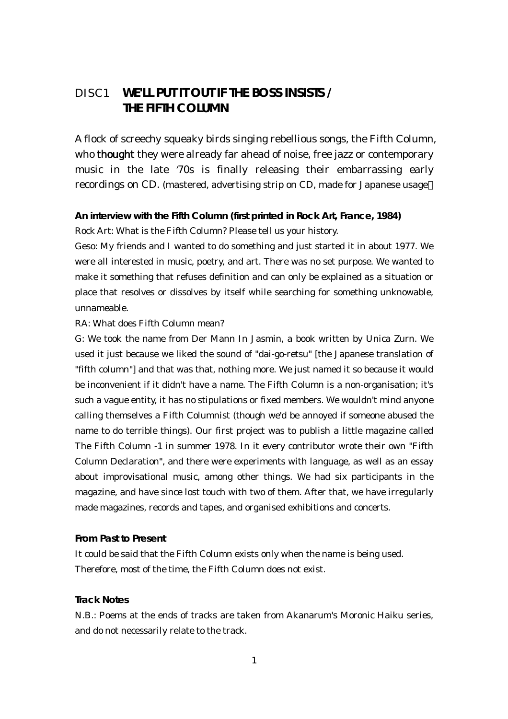# DISC1 **WE'LL PUT IT OUT IF THE BOSS INSISTS / THE FIFTH COLUMN**

A flock of screechy squeaky birds singing rebellious songs, the Fifth Column, who **thought** they were already far ahead of noise, free jazz or contemporary music in the late '70s is finally releasing their embarrassing early recordings on CD. (mastered, advertising strip on CD, made for Japanese usage

**An interview with the Fifth Column (first printed in Rock Art, France, 1984)** Rock Art: What is the Fifth Column? Please tell us your history.

Geso: My friends and I wanted to do something and just started it in about 1977. We were all interested in music, poetry, and art. There was no set purpose. We wanted to make it something that refuses definition and can only be explained as a situation or place that resolves or dissolves by itself while searching for something unknowable, unnameable.

#### RA: What does Fifth Column mean?

G: We took the name from Der Mann In Jasmin, a book written by Unica Zurn. We used it just because we liked the sound of "dai-go-retsu" [the Japanese translation of "fifth column"] and that was that, nothing more. We just named it so because it would be inconvenient if it didn't have a name. The Fifth Column is a non-organisation; it's such a vague entity, it has no stipulations or fixed members. We wouldn't mind anyone calling themselves a Fifth Columnist (though we'd be annoyed if someone abused the name to do terrible things). Our first project was to publish a little magazine called The Fifth Column -1 in summer 1978. In it every contributor wrote their own "Fifth Column Declaration", and there were experiments with language, as well as an essay about improvisational music, among other things. We had six participants in the magazine, and have since lost touch with two of them. After that, we have irregularly made magazines, records and tapes, and organised exhibitions and concerts.

#### **From Past to Present**

It could be said that the Fifth Column exists only when the name is being used. Therefore, most of the time, the Fifth Column does not exist.

#### **Track Notes**

N.B.: Poems at the ends of tracks are taken from Akanarum's Moronic Haiku series, and do not necessarily relate to the track.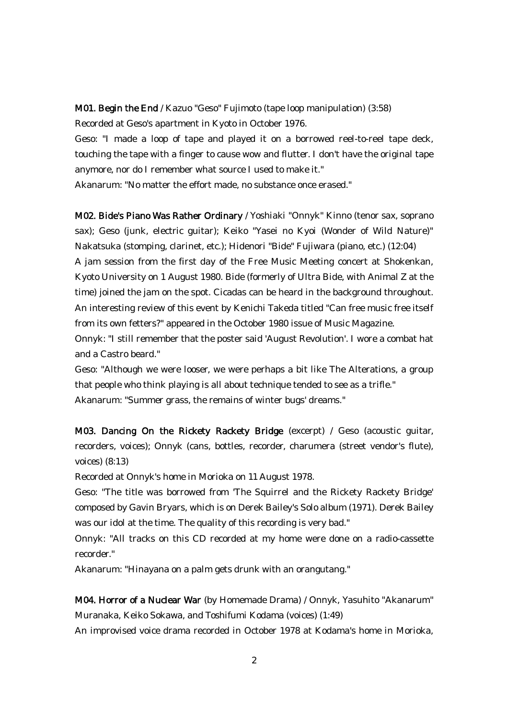M01. Begin the End / Kazuo "Geso" Fujimoto (tape loop manipulation) (3:58)

Recorded at Geso's apartment in Kyoto in October 1976.

Geso: "I made a loop of tape and played it on a borrowed reel-to-reel tape deck, touching the tape with a finger to cause wow and flutter. I don't have the original tape anymore, nor do I remember what source I used to make it."

Akanarum: "No matter the effort made, no substance once erased."

M02. Bide's Piano Was Rather Ordinary / Yoshiaki "Onnyk" Kinno (tenor sax, soprano sax); Geso (junk, electric guitar); Keiko "Yasei no Kyoi (Wonder of Wild Nature)" Nakatsuka (stomping, clarinet, etc.); Hidenori "Bide" Fujiwara (piano, etc.) (12:04) A jam session from the first day of the Free Music Meeting concert at Shokenkan, Kyoto University on 1 August 1980. Bide (formerly of Ultra Bide, with Animal Z at the time) joined the jam on the spot. Cicadas can be heard in the background throughout. An interesting review of this event by Kenichi Takeda titled "Can free music free itself from its own fetters?" appeared in the October 1980 issue of Music Magazine.

Onnyk: "I still remember that the poster said 'August Revolution'. I wore a combat hat and a Castro beard."

Geso: "Although we were looser, we were perhaps a bit like The Alterations, a group that people who think playing is all about technique tended to see as a trifle." Akanarum: "Summer grass, the remains of winter bugs' dreams."

M03. Dancing On the Rickety Rackety Bridge (excerpt) / Geso (acoustic guitar, recorders, voices); Onnyk (cans, bottles, recorder, charumera (street vendor's flute), voices) (8:13)

Recorded at Onnyk's home in Morioka on 11 August 1978.

Geso: "The title was borrowed from 'The Squirrel and the Rickety Rackety Bridge' composed by Gavin Bryars, which is on Derek Bailey's Solo album (1971). Derek Bailey was our idol at the time. The quality of this recording is very bad."

Onnyk: "All tracks on this CD recorded at my home were done on a radio-cassette recorder."

Akanarum: "Hinayana on a palm gets drunk with an orangutang."

M04. Horror of a Nuclear War (by Homemade Drama) / Onnyk, Yasuhito "Akanarum" Muranaka, Keiko Sokawa, and Toshifumi Kodama (voices) (1:49) An improvised voice drama recorded in October 1978 at Kodama's home in Morioka,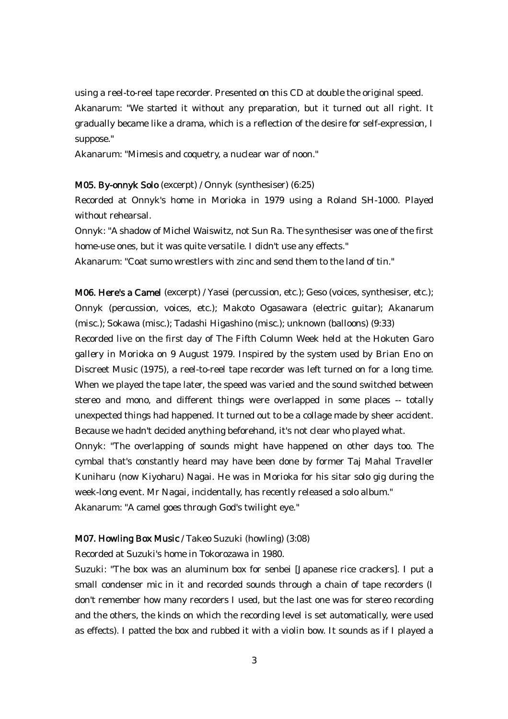using a reel-to-reel tape recorder. Presented on this CD at double the original speed. Akanarum: "We started it without any preparation, but it turned out all right. It gradually became like a drama, which is a reflection of the desire for self-expression, I suppose."

Akanarum: "Mimesis and coquetry, a nuclear war of noon."

#### M05. By-onnyk Solo (excerpt) / Onnyk (synthesiser) (6:25)

Recorded at Onnyk's home in Morioka in 1979 using a Roland SH-1000. Played without rehearsal.

Onnyk: "A shadow of Michel Waiswitz, not Sun Ra. The synthesiser was one of the first home-use ones, but it was quite versatile. I didn't use any effects."

Akanarum: "Coat sumo wrestlers with zinc and send them to the land of tin."

M06. Here's a Camel (excerpt) / Yasei (percussion, etc.); Geso (voices, synthesiser, etc.); Onnyk (percussion, voices, etc.); Makoto Ogasawara (electric guitar); Akanarum (misc.); Sokawa (misc.); Tadashi Higashino (misc.); unknown (balloons) (9:33)

Recorded live on the first day of The Fifth Column Week held at the Hokuten Garo gallery in Morioka on 9 August 1979. Inspired by the system used by Brian Eno on Discreet Music (1975), a reel-to-reel tape recorder was left turned on for a long time. When we played the tape later, the speed was varied and the sound switched between stereo and mono, and different things were overlapped in some places -- totally unexpected things had happened. It turned out to be a collage made by sheer accident. Because we hadn't decided anything beforehand, it's not clear who played what.

Onnyk: "The overlapping of sounds might have happened on other days too. The cymbal that's constantly heard may have been done by former Taj Mahal Traveller Kuniharu (now Kiyoharu) Nagai. He was in Morioka for his sitar solo gig during the week-long event. Mr Nagai, incidentally, has recently released a solo album."

Akanarum: "A camel goes through God's twilight eye."

#### M07. Howling Box Music / Takeo Suzuki (howling) (3:08)

Recorded at Suzuki's home in Tokorozawa in 1980.

Suzuki: "The box was an aluminum box for senbei [Japanese rice crackers]. I put a small condenser mic in it and recorded sounds through a chain of tape recorders (I don't remember how many recorders I used, but the last one was for stereo recording and the others, the kinds on which the recording level is set automatically, were used as effects). I patted the box and rubbed it with a violin bow. It sounds as if I played a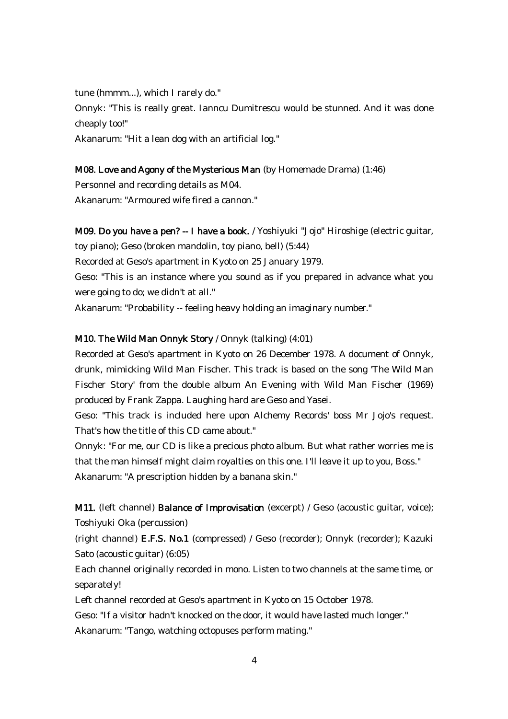tune (hmmm...), which I rarely do."

Onnyk: "This is really great. Ianncu Dumitrescu would be stunned. And it was done cheaply too!"

Akanarum: "Hit a lean dog with an artificial log."

#### M08. Love and Agony of the Mysterious Man (by Homemade Drama) (1:46)

Personnel and recording details as M04. Akanarum: "Armoured wife fired a cannon."

M09. Do you have a pen? -- I have a book. / Yoshiyuki "Jojo" Hiroshige (electric guitar,

toy piano); Geso (broken mandolin, toy piano, bell) (5:44)

Recorded at Geso's apartment in Kyoto on 25 January 1979.

Geso: "This is an instance where you sound as if you prepared in advance what you were going to do; we didn't at all."

Akanarum: "Probability -- feeling heavy holding an imaginary number."

### M10. The Wild Man Onnyk Story / Onnyk (talking) (4:01)

Recorded at Geso's apartment in Kyoto on 26 December 1978. A document of Onnyk, drunk, mimicking Wild Man Fischer. This track is based on the song 'The Wild Man Fischer Story' from the double album An Evening with Wild Man Fischer (1969) produced by Frank Zappa. Laughing hard are Geso and Yasei.

Geso: "This track is included here upon Alchemy Records' boss Mr Jojo's request. That's how the title of this CD came about."

Onnyk: "For me, our CD is like a precious photo album. But what rather worries me is that the man himself might claim royalties on this one. I'll leave it up to you, Boss." Akanarum: "A prescription hidden by a banana skin."

M11. (left channel) Balance of Improvisation (excerpt) / Geso (acoustic guitar, voice); Toshiyuki Oka (percussion)

(right channel) E.F.S. No.1 (compressed) / Geso (recorder); Onnyk (recorder); Kazuki Sato (acoustic guitar) (6:05)

Each channel originally recorded in mono. Listen to two channels at the same time, or separately!

Left channel recorded at Geso's apartment in Kyoto on 15 October 1978.

Geso: "If a visitor hadn't knocked on the door, it would have lasted much longer."

Akanarum: "Tango, watching octopuses perform mating."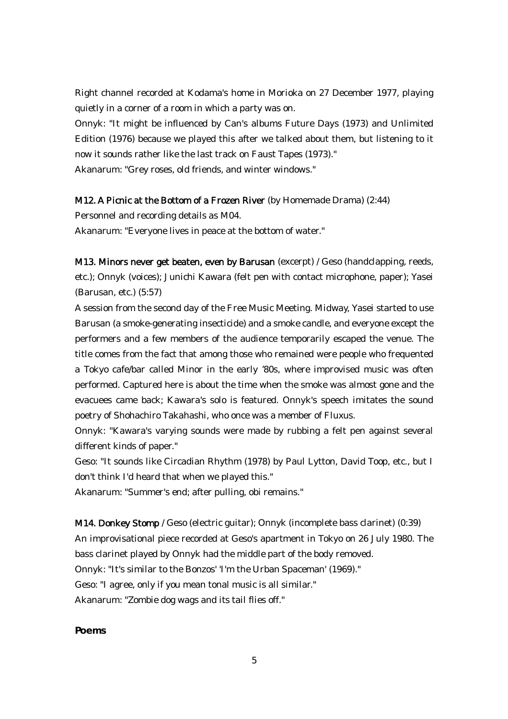Right channel recorded at Kodama's home in Morioka on 27 December 1977, playing quietly in a corner of a room in which a party was on.

Onnyk: "It might be influenced by Can's albums Future Days (1973) and Unlimited Edition (1976) because we played this after we talked about them, but listening to it now it sounds rather like the last track on Faust Tapes (1973)."

Akanarum: "Grey roses, old friends, and winter windows."

# M12. A Picnic at the Bottom of a Frozen River (by Homemade Drama) (2:44)

Personnel and recording details as M04.

Akanarum: "Everyone lives in peace at the bottom of water."

M13. Minors never get beaten, even by Barusan (excerpt) / Geso (handclapping, reeds, etc.); Onnyk (voices); Junichi Kawara (felt pen with contact microphone, paper); Yasei (Barusan, etc.) (5:57)

A session from the second day of the Free Music Meeting. Midway, Yasei started to use Barusan (a smoke-generating insecticide) and a smoke candle, and everyone except the performers and a few members of the audience temporarily escaped the venue. The title comes from the fact that among those who remained were people who frequented a Tokyo cafe/bar called Minor in the early '80s, where improvised music was often performed. Captured here is about the time when the smoke was almost gone and the evacuees came back; Kawara's solo is featured. Onnyk's speech imitates the sound poetry of Shohachiro Takahashi, who once was a member of Fluxus.

Onnyk: "Kawara's varying sounds were made by rubbing a felt pen against several different kinds of paper."

Geso: "It sounds like Circadian Rhythm (1978) by Paul Lytton, David Toop, etc., but I don't think I'd heard that when we played this."

Akanarum: "Summer's end; after pulling, obi remains."

M14. Donkey Stomp / Geso (electric guitar); Onnyk (incomplete bass clarinet) (0:39) An improvisational piece recorded at Geso's apartment in Tokyo on 26 July 1980. The bass clarinet played by Onnyk had the middle part of the body removed. Onnyk: "It's similar to the Bonzos' 'I'm the Urban Spaceman' (1969)." Geso: "I agree, only if you mean tonal music is all similar." Akanarum: "Zombie dog wags and its tail flies off."

**Poems**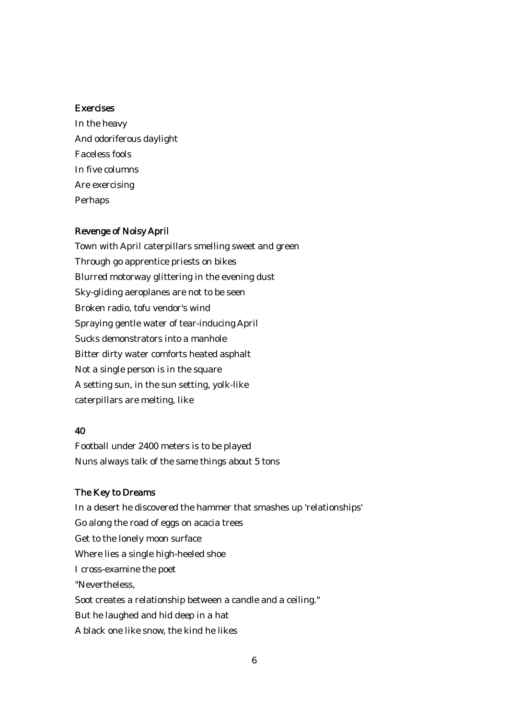#### Exercises

In the heavy And odoriferous daylight Faceless fools In five columns Are exercising Perhaps

#### Revenge of Noisy April

Town with April caterpillars smelling sweet and green Through go apprentice priests on bikes Blurred motorway glittering in the evening dust Sky-gliding aeroplanes are not to be seen Broken radio, tofu vendor's wind Spraying gentle water of tear-inducing April Sucks demonstrators into a manhole Bitter dirty water comforts heated asphalt Not a single person is in the square A setting sun, in the sun setting, yolk-like caterpillars are melting, like

# 40

Football under 2400 meters is to be played Nuns always talk of the same things about 5 tons

#### The Key to Dreams

In a desert he discovered the hammer that smashes up 'relationships' Go along the road of eggs on acacia trees Get to the lonely moon surface Where lies a single high-heeled shoe I cross-examine the poet "Nevertheless, Soot creates a relationship between a candle and a ceiling." But he laughed and hid deep in a hat A black one like snow, the kind he likes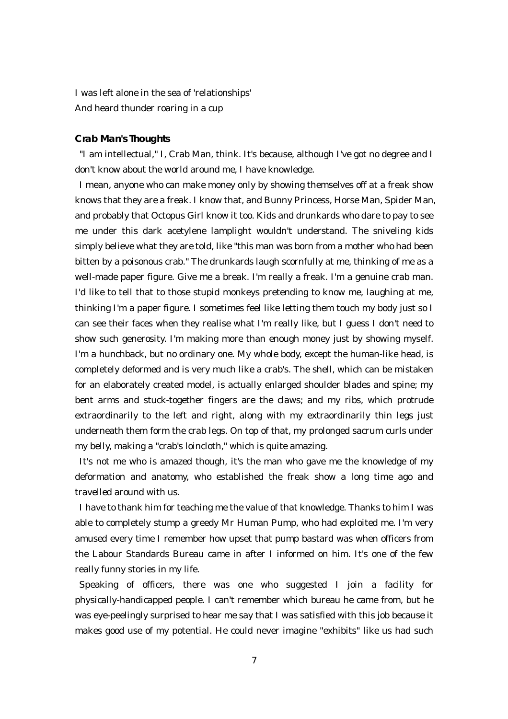I was left alone in the sea of 'relationships' And heard thunder roaring in a cup

#### **Crab Man's Thoughts**

"I am intellectual," I, Crab Man, think. It's because, although I've got no degree and I don't know about the world around me, I have knowledge.

I mean, anyone who can make money only by showing themselves off at a freak show knows that they are a freak. I know that, and Bunny Princess, Horse Man, Spider Man, and probably that Octopus Girl know it too. Kids and drunkards who dare to pay to see me under this dark acetylene lamplight wouldn't understand. The sniveling kids simply believe what they are told, like "this man was born from a mother who had been bitten by a poisonous crab." The drunkards laugh scornfully at me, thinking of me as a well-made paper figure. Give me a break. I'm really a freak. I'm a genuine crab man. I'd like to tell that to those stupid monkeys pretending to know me, laughing at me, thinking I'm a paper figure. I sometimes feel like letting them touch my body just so I can see their faces when they realise what I'm really like, but I guess I don't need to show such generosity. I'm making more than enough money just by showing myself. I'm a hunchback, but no ordinary one. My whole body, except the human-like head, is completely deformed and is very much like a crab's. The shell, which can be mistaken for an elaborately created model, is actually enlarged shoulder blades and spine; my bent arms and stuck-together fingers are the claws; and my ribs, which protrude extraordinarily to the left and right, along with my extraordinarily thin legs just underneath them form the crab legs. On top of that, my prolonged sacrum curls under my belly, making a "crab's loincloth," which is quite amazing.

It's not me who is amazed though, it's the man who gave me the knowledge of my deformation and anatomy, who established the freak show a long time ago and travelled around with us.

I have to thank him for teaching me the value of that knowledge. Thanks to him I was able to completely stump a greedy Mr Human Pump, who had exploited me. I'm very amused every time I remember how upset that pump bastard was when officers from the Labour Standards Bureau came in after I informed on him. It's one of the few really funny stories in my life.

Speaking of officers, there was one who suggested I join a facility for physically-handicapped people. I can't remember which bureau he came from, but he was eye-peelingly surprised to hear me say that I was satisfied with this job because it makes good use of my potential. He could never imagine "exhibits" like us had such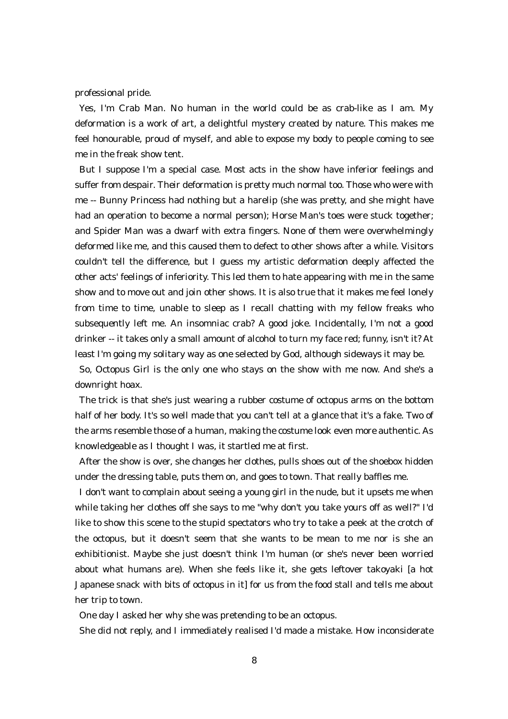professional pride.

Yes, I'm Crab Man. No human in the world could be as crab-like as I am. My deformation is a work of art, a delightful mystery created by nature. This makes me feel honourable, proud of myself, and able to expose my body to people coming to see me in the freak show tent.

But I suppose I'm a special case. Most acts in the show have inferior feelings and suffer from despair. Their deformation is pretty much normal too. Those who were with me -- Bunny Princess had nothing but a harelip (she was pretty, and she might have had an operation to become a normal person); Horse Man's toes were stuck together; and Spider Man was a dwarf with extra fingers. None of them were overwhelmingly deformed like me, and this caused them to defect to other shows after a while. Visitors couldn't tell the difference, but I guess my artistic deformation deeply affected the other acts' feelings of inferiority. This led them to hate appearing with me in the same show and to move out and join other shows. It is also true that it makes me feel lonely from time to time, unable to sleep as I recall chatting with my fellow freaks who subsequently left me. An insomniac crab? A good joke. Incidentally, I'm not a good drinker -- it takes only a small amount of alcohol to turn my face red; funny, isn't it? At least I'm going my solitary way as one selected by God, although sideways it may be. So, Octopus Girl is the only one who stays on the show with me now. And she's a

downright hoax.

The trick is that she's just wearing a rubber costume of octopus arms on the bottom half of her body. It's so well made that you can't tell at a glance that it's a fake. Two of the arms resemble those of a human, making the costume look even more authentic. As knowledgeable as I thought I was, it startled me at first.

After the show is over, she changes her clothes, pulls shoes out of the shoebox hidden under the dressing table, puts them on, and goes to town. That really baffles me.

I don't want to complain about seeing a young girl in the nude, but it upsets me when while taking her clothes off she says to me "why don't you take yours off as well?" I'd like to show this scene to the stupid spectators who try to take a peek at the crotch of the octopus, but it doesn't seem that she wants to be mean to me nor is she an exhibitionist. Maybe she just doesn't think I'm human (or she's never been worried about what humans are). When she feels like it, she gets leftover takoyaki [a hot Japanese snack with bits of octopus in it] for us from the food stall and tells me about her trip to town.

One day I asked her why she was pretending to be an octopus.

She did not reply, and I immediately realised I'd made a mistake. How inconsiderate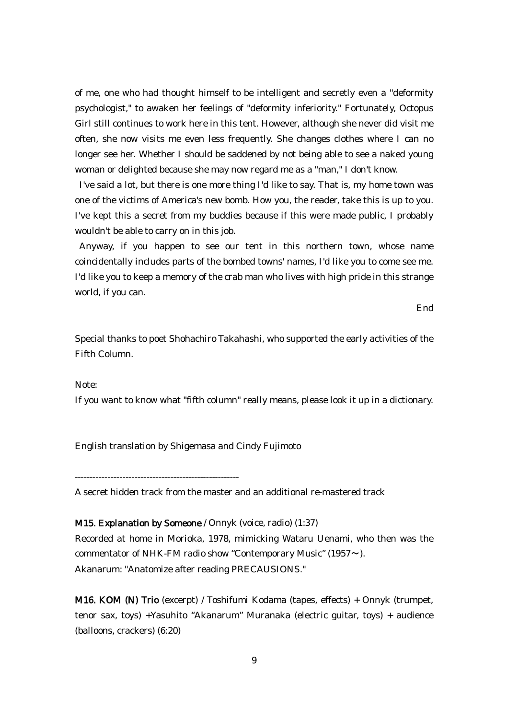of me, one who had thought himself to be intelligent and secretly even a "deformity psychologist," to awaken her feelings of "deformity inferiority." Fortunately, Octopus Girl still continues to work here in this tent. However, although she never did visit me often, she now visits me even less frequently. She changes clothes where I can no longer see her. Whether I should be saddened by not being able to see a naked young woman or delighted because she may now regard me as a "man," I don't know.

I've said a lot, but there is one more thing I'd like to say. That is, my home town was one of the victims of America's new bomb. How you, the reader, take this is up to you. I've kept this a secret from my buddies because if this were made public, I probably wouldn't be able to carry on in this job.

Anyway, if you happen to see our tent in this northern town, whose name coincidentally includes parts of the bombed towns' names, I'd like you to come see me. I'd like you to keep a memory of the crab man who lives with high pride in this strange world, if you can.

End

Special thanks to poet Shohachiro Takahashi, who supported the early activities of the Fifth Column.

Note:

If you want to know what "fifth column" really means, please look it up in a dictionary.

English translation by Shigemasa and Cindy Fujimoto

-------------------------------------------------------

A secret hidden track from the master and an additional re-mastered track

M15. Explanation by Someone / Onnyk (voice, radio) (1:37) Recorded at home in Morioka, 1978, mimicking Wataru Uenami, who then was the commentator of NHK-FM radio show "Contemporary Music" (1957〜). Akanarum: "Anatomize after reading PRECAUSIONS."

M16. KOM (N) Trio (excerpt) / Toshifumi Kodama (tapes, effects) + Onnyk (trumpet, tenor sax, toys) +Yasuhito "Akanarum" Muranaka (electric guitar, toys) + audience (balloons, crackers) (6:20)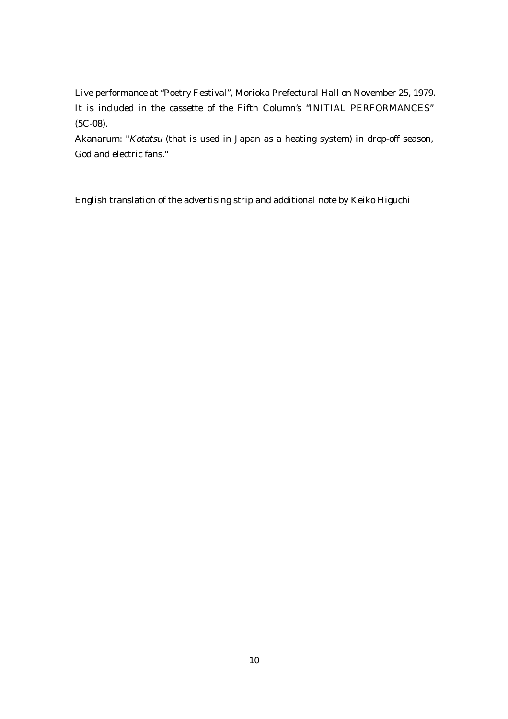Live performance at "Poetry Festival", Morioka Prefectural Hall on November 25, 1979. It is included in the cassette of the Fifth Column's "INITIAL PERFORMANCES" (5C-08).

Akanarum: "Kotatsu (that is used in Japan as a heating system) in drop-off season, God and electric fans."

English translation of the advertising strip and additional note by Keiko Higuchi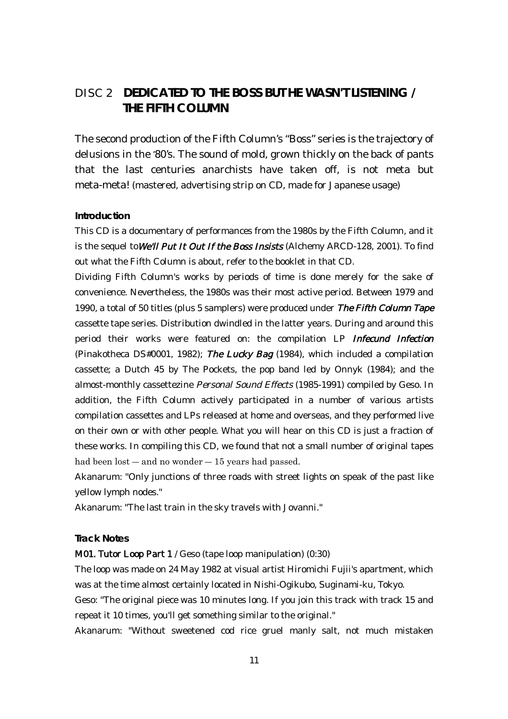# DISC 2 **DEDICATED TO THE BOSS BUT HE WASN'T LISTENING / THE FIFTH COLUMN**

The second production of the Fifth Column's "Boss" series is the trajectory of delusions in the '80's. The sound of mold, grown thickly on the back of pants that the last centuries anarchists have taken off, is not meta but meta-meta! (mastered, advertising strip on CD, made for Japanese usage)

#### **Introduction**

This CD is a documentary of performances from the 1980s by the Fifth Column, and it is the sequel to We'll Put It Out If the Boss Insists (Alchemy ARCD-128, 2001). To find out what the Fifth Column is about, refer to the booklet in that CD.

Dividing Fifth Column's works by periods of time is done merely for the sake of convenience. Nevertheless, the 1980s was their most active period. Between 1979 and 1990, a total of 50 titles (plus 5 samplers) were produced under The Fifth Column Tape cassette tape series. Distribution dwindled in the latter years. During and around this period their works were featured on: the compilation LP Infecund Infection (Pinakotheca DS#0001, 1982); The Lucky Bag (1984), which included a compilation cassette; a Dutch 45 by The Pockets, the pop band led by Onnyk (1984); and the almost-monthly cassettezine Personal Sound Effects (1985-1991) compiled by Geso. In addition, the Fifth Column actively participated in a number of various artists compilation cassettes and LPs released at home and overseas, and they performed live on their own or with other people. What you will hear on this CD is just a fraction of these works. In compiling this CD, we found that not a small number of original tapes had been  $lost -$  and no wonder  $-15$  years had passed.

Akanarum: "Only junctions of three roads with street lights on speak of the past like yellow lymph nodes."

Akanarum: "The last train in the sky travels with Jovanni."

#### **Track Notes**

M01. Tutor Loop Part 1 / Geso (tape loop manipulation) (0:30)

The loop was made on 24 May 1982 at visual artist Hiromichi Fujii's apartment, which was at the time almost certainly located in Nishi-Ogikubo, Suginami-ku, Tokyo.

Geso: "The original piece was 10 minutes long. If you join this track with track 15 and repeat it 10 times, you'll get something similar to the original."

Akanarum: "Without sweetened cod rice gruel manly salt, not much mistaken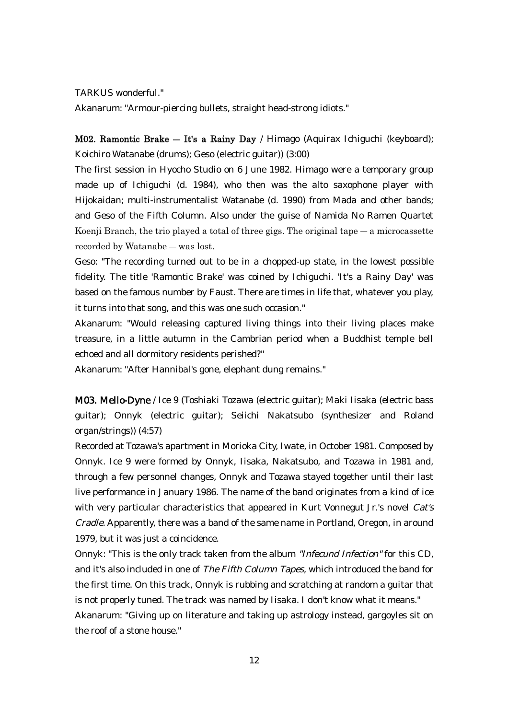TARKUS wonderful."

Akanarum: "Armour-piercing bullets, straight head-strong idiots."

M02. Ramontic Brake ― It's a Rainy Day / Himago (Aquirax Ichiguchi (keyboard); Koichiro Watanabe (drums); Geso (electric guitar)) (3:00)

The first session in Hyocho Studio on 6 June 1982. Himago were a temporary group made up of Ichiguchi (d. 1984), who then was the alto saxophone player with Hijokaidan; multi-instrumentalist Watanabe (d. 1990) from Mada and other bands; and Geso of the Fifth Column. Also under the guise of Namida No Ramen Quartet Koenji Branch, the trio played a total of three gigs. The original tape  $-$  a microcassette recorded by Watanabe ― was lost.

Geso: "The recording turned out to be in a chopped-up state, in the lowest possible fidelity. The title 'Ramontic Brake' was coined by Ichiguchi. 'It's a Rainy Day' was based on the famous number by Faust. There are times in life that, whatever you play, it turns into that song, and this was one such occasion."

Akanarum: "Would releasing captured living things into their living places make treasure, in a little autumn in the Cambrian period when a Buddhist temple bell echoed and all dormitory residents perished?"

Akanarum: "After Hannibal's gone, elephant dung remains."

M03. Mello-Dyne / Ice 9 (Toshiaki Tozawa (electric guitar); Maki Iisaka (electric bass guitar); Onnyk (electric guitar); Seiichi Nakatsubo (synthesizer and Roland organ/strings)) (4:57)

Recorded at Tozawa's apartment in Morioka City, Iwate, in October 1981. Composed by Onnyk. Ice 9 were formed by Onnyk, Iisaka, Nakatsubo, and Tozawa in 1981 and, through a few personnel changes, Onnyk and Tozawa stayed together until their last live performance in January 1986. The name of the band originates from a kind of ice with very particular characteristics that appeared in Kurt Vonnegut Jr.'s novel Cat's Cradle. Apparently, there was a band of the same name in Portland, Oregon, in around 1979, but it was just a coincidence.

Onnyk: "This is the only track taken from the album "Infecund Infection" for this CD, and it's also included in one of The Fifth Column Tapes, which introduced the band for the first time. On this track, Onnyk is rubbing and scratching at random a guitar that is not properly tuned. The track was named by Iisaka. I don't know what it means." Akanarum: "Giving up on literature and taking up astrology instead, gargoyles sit on the roof of a stone house."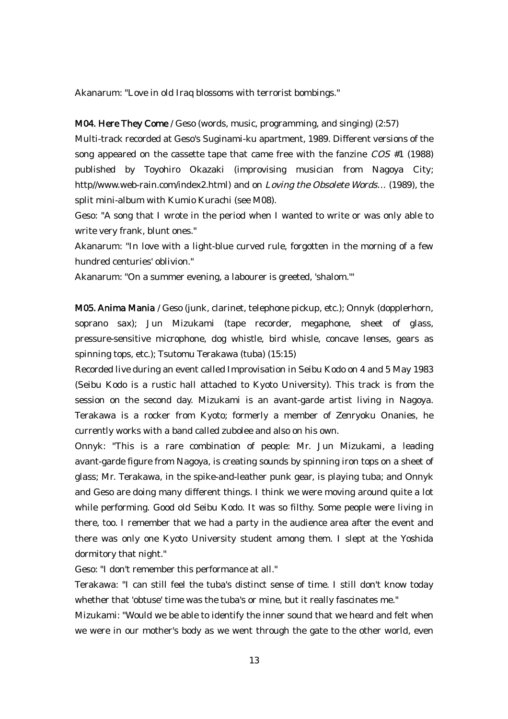Akanarum: "Love in old Iraq blossoms with terrorist bombings."

#### M04. Here They Come / Geso (words, music, programming, and singing) (2:57)

Multi-track recorded at Geso's Suginami-ku apartment, 1989. Different versions of the song appeared on the cassette tape that came free with the fanzine COS #1 (1988) published by Toyohiro Okazaki (improvising musician from Nagoya City; http//www.web-rain.com/index2.html) and on Loving the Obsolete Words… (1989), the split mini-album with Kumio Kurachi (see M08).

Geso: "A song that I wrote in the period when I wanted to write or was only able to write very frank, blunt ones."

Akanarum: "In love with a light-blue curved rule, forgotten in the morning of a few hundred centuries' oblivion."

Akanarum: "On a summer evening, a labourer is greeted, 'shalom.'"

M05. Anima Mania / Geso (junk, clarinet, telephone pickup, etc.); Onnyk (dopplerhorn, soprano sax); Jun Mizukami (tape recorder, megaphone, sheet of glass, pressure-sensitive microphone, dog whistle, bird whisle, concave lenses, gears as spinning tops, etc.); Tsutomu Terakawa (tuba) (15:15)

Recorded live during an event called Improvisation in Seibu Kodo on 4 and 5 May 1983 (Seibu Kodo is a rustic hall attached to Kyoto University). This track is from the session on the second day. Mizukami is an avant-garde artist living in Nagoya. Terakawa is a rocker from Kyoto; formerly a member of Zenryoku Onanies, he currently works with a band called zubolee and also on his own.

Onnyk: "This is a rare combination of people: Mr. Jun Mizukami, a leading avant-garde figure from Nagoya, is creating sounds by spinning iron tops on a sheet of glass; Mr. Terakawa, in the spike-and-leather punk gear, is playing tuba; and Onnyk and Geso are doing many different things. I think we were moving around quite a lot while performing. Good old Seibu Kodo. It was so filthy. Some people were living in there, too. I remember that we had a party in the audience area after the event and there was only one Kyoto University student among them. I slept at the Yoshida dormitory that night."

Geso: "I don't remember this performance at all."

Terakawa: "I can still feel the tuba's distinct sense of time. I still don't know today whether that 'obtuse' time was the tuba's or mine, but it really fascinates me."

Mizukami: "Would we be able to identify the inner sound that we heard and felt when we were in our mother's body as we went through the gate to the other world, even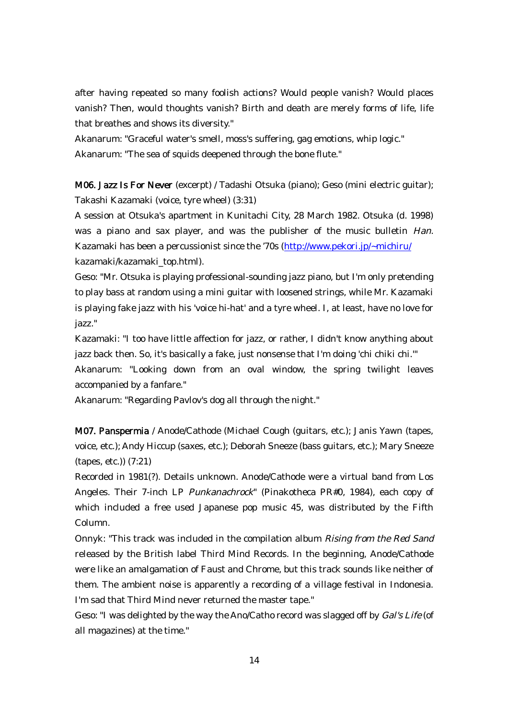after having repeated so many foolish actions? Would people vanish? Would places vanish? Then, would thoughts vanish? Birth and death are merely forms of life, life that breathes and shows its diversity."

Akanarum: "Graceful water's smell, moss's suffering, gag emotions, whip logic." Akanarum: "The sea of squids deepened through the bone flute."

M06. Jazz Is For Never (excerpt) / Tadashi Otsuka (piano); Geso (mini electric guitar); Takashi Kazamaki (voice, tyre wheel) (3:31)

A session at Otsuka's apartment in Kunitachi City, 28 March 1982. Otsuka (d. 1998) was a piano and sax player, and was the publisher of the music bulletin Han. Kazamaki has been a percussionist since the '70s (http://www.pekori.jp/~michiru/ kazamaki/kazamaki\_top.html).

Geso: "Mr. Otsuka is playing professional-sounding jazz piano, but I'm only pretending to play bass at random using a mini guitar with loosened strings, while Mr. Kazamaki is playing fake jazz with his 'voice hi-hat' and a tyre wheel. I, at least, have no love for jazz."

Kazamaki: "I too have little affection for jazz, or rather, I didn't know anything about jazz back then. So, it's basically a fake, just nonsense that I'm doing 'chi chiki chi.'"

Akanarum: "Looking down from an oval window, the spring twilight leaves accompanied by a fanfare."

Akanarum: "Regarding Pavlov's dog all through the night."

M07. Panspermia / Anode/Cathode (Michael Cough (guitars, etc.); Janis Yawn (tapes, voice, etc.); Andy Hiccup (saxes, etc.); Deborah Sneeze (bass guitars, etc.); Mary Sneeze (tapes, etc.)) (7:21)

Recorded in 1981(?). Details unknown. Anode/Cathode were a virtual band from Los Angeles. Their 7-inch LP Punkanachrock" (Pinakotheca PR#0, 1984), each copy of which included a free used Japanese pop music 45, was distributed by the Fifth Column.

Onnyk: "This track was included in the compilation album Rising from the Red Sand released by the British label Third Mind Records. In the beginning, Anode/Cathode were like an amalgamation of Faust and Chrome, but this track sounds like neither of them. The ambient noise is apparently a recording of a village festival in Indonesia. I'm sad that Third Mind never returned the master tape."

Geso: "I was delighted by the way the Ano/Catho record was slagged off by *Gal's Life* (of all magazines) at the time."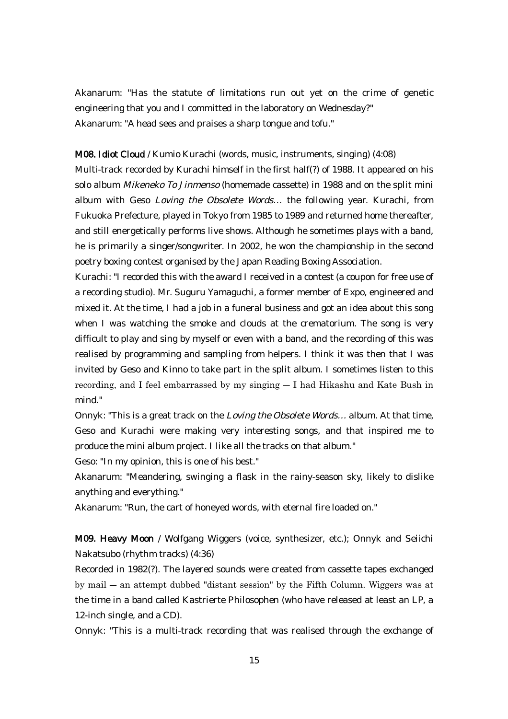Akanarum: "Has the statute of limitations run out yet on the crime of genetic engineering that you and I committed in the laboratory on Wednesday?" Akanarum: "A head sees and praises a sharp tongue and tofu."

#### M08. Idiot Cloud / Kumio Kurachi (words, music, instruments, singing) (4:08)

Multi-track recorded by Kurachi himself in the first half(?) of 1988. It appeared on his solo album Mikeneko To Jinmenso (homemade cassette) in 1988 and on the split mini album with Geso Loving the Obsolete Words… the following year. Kurachi, from Fukuoka Prefecture, played in Tokyo from 1985 to 1989 and returned home thereafter, and still energetically performs live shows. Although he sometimes plays with a band, he is primarily a singer/songwriter. In 2002, he won the championship in the second poetry boxing contest organised by the Japan Reading Boxing Association.

Kurachi: "I recorded this with the award I received in a contest (a coupon for free use of a recording studio). Mr. Suguru Yamaguchi, a former member of Expo, engineered and mixed it. At the time, I had a job in a funeral business and got an idea about this song when I was watching the smoke and clouds at the crematorium. The song is very difficult to play and sing by myself or even with a band, and the recording of this was realised by programming and sampling from helpers. I think it was then that I was invited by Geso and Kinno to take part in the split album. I sometimes listen to this recording, and I feel embarrassed by my singing ― I had Hikashu and Kate Bush in mind."

Onnyk: "This is a great track on the Loving the Obsolete Words… album. At that time, Geso and Kurachi were making very interesting songs, and that inspired me to produce the mini album project. I like all the tracks on that album."

Geso: "In my opinion, this is one of his best."

Akanarum: "Meandering, swinging a flask in the rainy-season sky, likely to dislike anything and everything."

Akanarum: "Run, the cart of honeyed words, with eternal fire loaded on."

M09. Heavy Moon / Wolfgang Wiggers (voice, synthesizer, etc.); Onnyk and Seiichi Nakatsubo (rhythm tracks) (4:36)

Recorded in 1982(?). The layered sounds were created from cassette tapes exchanged by mail ― an attempt dubbed "distant session" by the Fifth Column. Wiggers was at the time in a band called Kastrierte Philosophen (who have released at least an LP, a 12-inch single, and a CD).

Onnyk: "This is a multi-track recording that was realised through the exchange of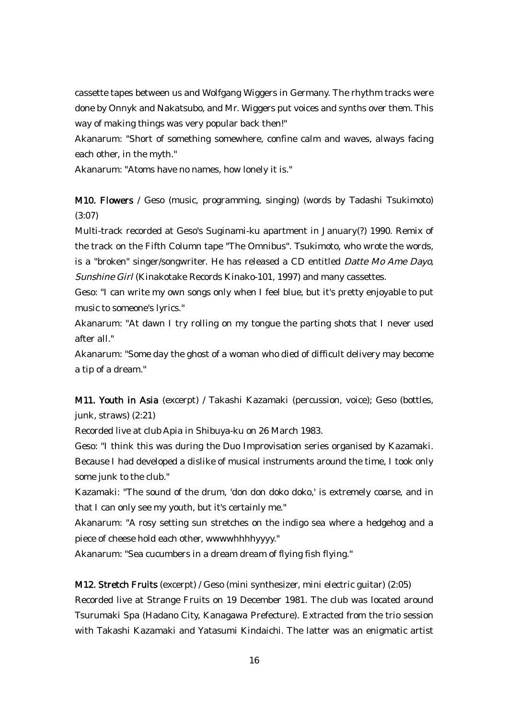cassette tapes between us and Wolfgang Wiggers in Germany. The rhythm tracks were done by Onnyk and Nakatsubo, and Mr. Wiggers put voices and synths over them. This way of making things was very popular back then!"

Akanarum: "Short of something somewhere, confine calm and waves, always facing each other, in the myth."

Akanarum: "Atoms have no names, how lonely it is."

M10. Flowers / Geso (music, programming, singing) (words by Tadashi Tsukimoto) (3:07)

Multi-track recorded at Geso's Suginami-ku apartment in January(?) 1990. Remix of the track on the Fifth Column tape "The Omnibus". Tsukimoto, who wrote the words, is a "broken" singer/songwriter. He has released a CD entitled Datte Mo Ame Dayo, Sunshine Girl (Kinakotake Records Kinako-101, 1997) and many cassettes.

Geso: "I can write my own songs only when I feel blue, but it's pretty enjoyable to put music to someone's lyrics."

Akanarum: "At dawn I try rolling on my tongue the parting shots that I never used after all."

Akanarum: "Some day the ghost of a woman who died of difficult delivery may become a tip of a dream."

M11. Youth in Asia (excerpt) / Takashi Kazamaki (percussion, voice); Geso (bottles, junk, straws) (2:21)

Recorded live at club Apia in Shibuya-ku on 26 March 1983.

Geso: "I think this was during the Duo Improvisation series organised by Kazamaki. Because I had developed a dislike of musical instruments around the time, I took only some junk to the club."

Kazamaki: "The sound of the drum, 'don don doko doko,' is extremely coarse, and in that I can only see my youth, but it's certainly me."

Akanarum: "A rosy setting sun stretches on the indigo sea where a hedgehog and a piece of cheese hold each other, wwwwhhhhyyyy."

Akanarum: "Sea cucumbers in a dream dream of flying fish flying."

M12. Stretch Fruits (excerpt) / Geso (mini synthesizer, mini electric guitar) (2:05)

Recorded live at Strange Fruits on 19 December 1981. The club was located around Tsurumaki Spa (Hadano City, Kanagawa Prefecture). Extracted from the trio session with Takashi Kazamaki and Yatasumi Kindaichi. The latter was an enigmatic artist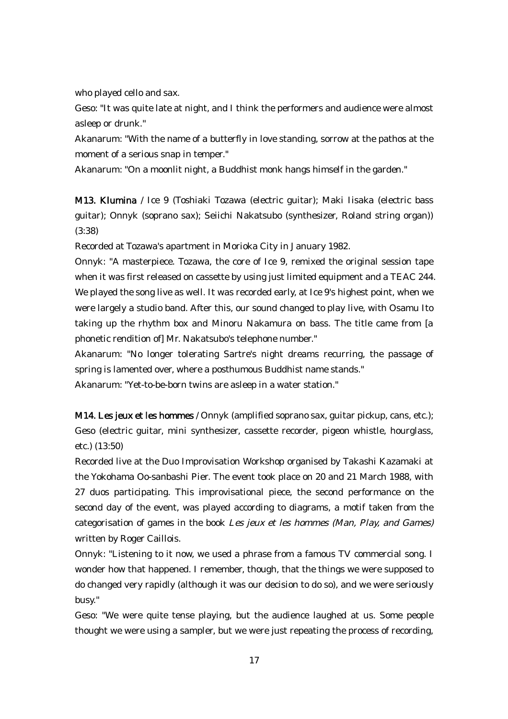who played cello and sax.

Geso: "It was quite late at night, and I think the performers and audience were almost asleep or drunk."

Akanarum: "With the name of a butterfly in love standing, sorrow at the pathos at the moment of a serious snap in temper."

Akanarum: "On a moonlit night, a Buddhist monk hangs himself in the garden."

M13. Klumina / Ice 9 (Toshiaki Tozawa (electric guitar); Maki Iisaka (electric bass guitar); Onnyk (soprano sax); Seiichi Nakatsubo (synthesizer, Roland string organ)) (3:38)

Recorded at Tozawa's apartment in Morioka City in January 1982.

Onnyk: "A masterpiece. Tozawa, the core of Ice 9, remixed the original session tape when it was first released on cassette by using just limited equipment and a TEAC 244. We played the song live as well. It was recorded early, at Ice 9's highest point, when we were largely a studio band. After this, our sound changed to play live, with Osamu Ito taking up the rhythm box and Minoru Nakamura on bass. The title came from [a phonetic rendition of] Mr. Nakatsubo's telephone number."

Akanarum: "No longer tolerating Sartre's night dreams recurring, the passage of spring is lamented over, where a posthumous Buddhist name stands."

Akanarum: "Yet-to-be-born twins are asleep in a water station."

M14. Les jeux et les hommes / Onnyk (amplified soprano sax, guitar pickup, cans, etc.); Geso (electric guitar, mini synthesizer, cassette recorder, pigeon whistle, hourglass, etc.) (13:50)

Recorded live at the Duo Improvisation Workshop organised by Takashi Kazamaki at the Yokohama Oo-sanbashi Pier. The event took place on 20 and 21 March 1988, with 27 duos participating. This improvisational piece, the second performance on the second day of the event, was played according to diagrams, a motif taken from the categorisation of games in the book Les jeux et les hommes (Man, Play, and Games) written by Roger Caillois.

Onnyk: "Listening to it now, we used a phrase from a famous TV commercial song. I wonder how that happened. I remember, though, that the things we were supposed to do changed very rapidly (although it was our decision to do so), and we were seriously busy."

Geso: "We were quite tense playing, but the audience laughed at us. Some people thought we were using a sampler, but we were just repeating the process of recording,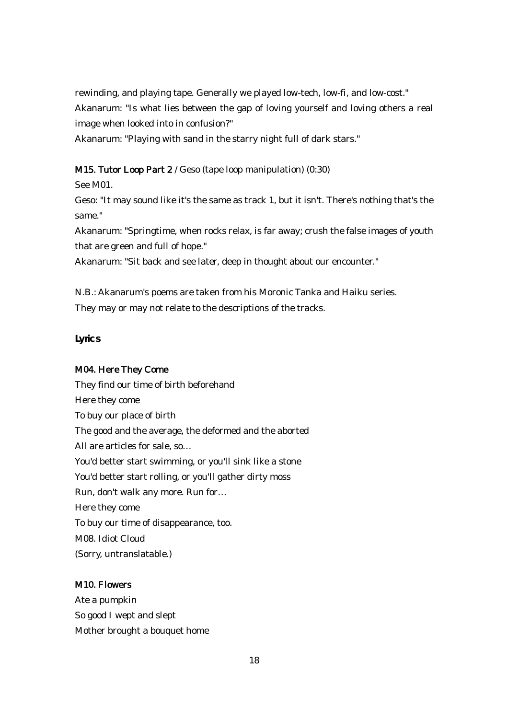rewinding, and playing tape. Generally we played low-tech, low-fi, and low-cost." Akanarum: "Is what lies between the gap of loving yourself and loving others a real image when looked into in confusion?"

Akanarum: "Playing with sand in the starry night full of dark stars."

## M15. Tutor Loop Part 2 / Geso (tape loop manipulation) (0:30)

See M01.

Geso: "It may sound like it's the same as track 1, but it isn't. There's nothing that's the same."

Akanarum: "Springtime, when rocks relax, is far away; crush the false images of youth that are green and full of hope."

Akanarum: "Sit back and see later, deep in thought about our encounter."

N.B.: Akanarum's poems are taken from his Moronic Tanka and Haiku series. They may or may not relate to the descriptions of the tracks.

**Lyrics**

# M04. Here They Come

They find our time of birth beforehand Here they come To buy our place of birth The good and the average, the deformed and the aborted All are articles for sale, so… You'd better start swimming, or you'll sink like a stone You'd better start rolling, or you'll gather dirty moss Run, don't walk any more. Run for… Here they come To buy our time of disappearance, too. M08. Idiot Cloud (Sorry, untranslatable.)

## M10. Flowers

Ate a pumpkin So good I wept and slept Mother brought a bouquet home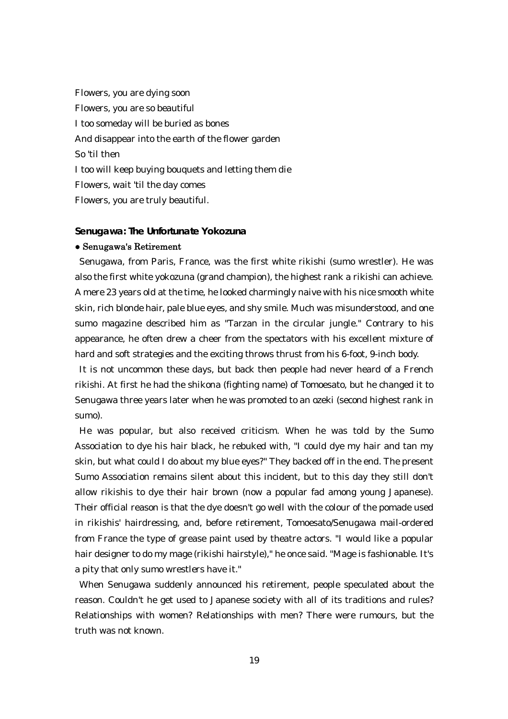Flowers, you are dying soon Flowers, you are so beautiful I too someday will be buried as bones And disappear into the earth of the flower garden So 'til then I too will keep buying bouquets and letting them die Flowers, wait 'til the day comes Flowers, you are truly beautiful.

**Senugawa: The Unfortunate Yokozuna**

#### ● Senugawa's Retirement

Senugawa, from Paris, France, was the first white rikishi (sumo wrestler). He was also the first white yokozuna (grand champion), the highest rank a rikishi can achieve. A mere 23 years old at the time, he looked charmingly naive with his nice smooth white skin, rich blonde hair, pale blue eyes, and shy smile. Much was misunderstood, and one sumo magazine described him as "Tarzan in the circular jungle." Contrary to his appearance, he often drew a cheer from the spectators with his excellent mixture of hard and soft strategies and the exciting throws thrust from his 6-foot, 9-inch body.

It is not uncommon these days, but back then people had never heard of a French rikishi. At first he had the shikona (fighting name) of Tomoesato, but he changed it to Senugawa three years later when he was promoted to an ozeki (second highest rank in sumo).

He was popular, but also received criticism. When he was told by the Sumo Association to dye his hair black, he rebuked with, "I could dye my hair and tan my skin, but what could I do about my blue eyes?" They backed off in the end. The present Sumo Association remains silent about this incident, but to this day they still don't allow rikishis to dye their hair brown (now a popular fad among young Japanese). Their official reason is that the dye doesn't go well with the colour of the pomade used in rikishis' hairdressing, and, before retirement, Tomoesato/Senugawa mail-ordered from France the type of grease paint used by theatre actors. "I would like a popular hair designer to do my mage (rikishi hairstyle)," he once said. "Mage is fashionable. It's a pity that only sumo wrestlers have it."

When Senugawa suddenly announced his retirement, people speculated about the reason. Couldn't he get used to Japanese society with all of its traditions and rules? Relationships with women? Relationships with men? There were rumours, but the truth was not known.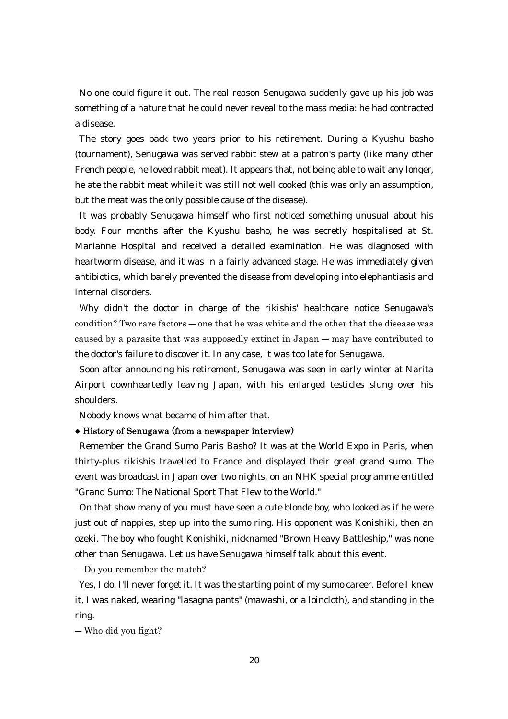No one could figure it out. The real reason Senugawa suddenly gave up his job was something of a nature that he could never reveal to the mass media: he had contracted a disease.

The story goes back two years prior to his retirement. During a Kyushu basho (tournament), Senugawa was served rabbit stew at a patron's party (like many other French people, he loved rabbit meat). It appears that, not being able to wait any longer, he ate the rabbit meat while it was still not well cooked (this was only an assumption, but the meat was the only possible cause of the disease).

It was probably Senugawa himself who first noticed something unusual about his body. Four months after the Kyushu basho, he was secretly hospitalised at St. Marianne Hospital and received a detailed examination. He was diagnosed with heartworm disease, and it was in a fairly advanced stage. He was immediately given antibiotics, which barely prevented the disease from developing into elephantiasis and internal disorders.

Why didn't the doctor in charge of the rikishis' healthcare notice Senugawa's condition? Two rare factors ― one that he was white and the other that the disease was caused by a parasite that was supposedly extinct in Japan ― may have contributed to the doctor's failure to discover it. In any case, it was too late for Senugawa.

Soon after announcing his retirement, Senugawa was seen in early winter at Narita Airport downheartedly leaving Japan, with his enlarged testicles slung over his shoulders.

Nobody knows what became of him after that.

#### ● History of Senugawa (from a newspaper interview)

Remember the Grand Sumo Paris Basho? It was at the World Expo in Paris, when thirty-plus rikishis travelled to France and displayed their great grand sumo. The event was broadcast in Japan over two nights, on an NHK special programme entitled "Grand Sumo: The National Sport That Flew to the World."

On that show many of you must have seen a cute blonde boy, who looked as if he were just out of nappies, step up into the sumo ring. His opponent was Konishiki, then an ozeki. The boy who fought Konishiki, nicknamed "Brown Heavy Battleship," was none other than Senugawa. Let us have Senugawa himself talk about this event.

― Do you remember the match?

Yes, I do. I'll never forget it. It was the starting point of my sumo career. Before I knew it, I was naked, wearing "lasagna pants" (mawashi, or a loincloth), and standing in the ring.

― Who did you fight?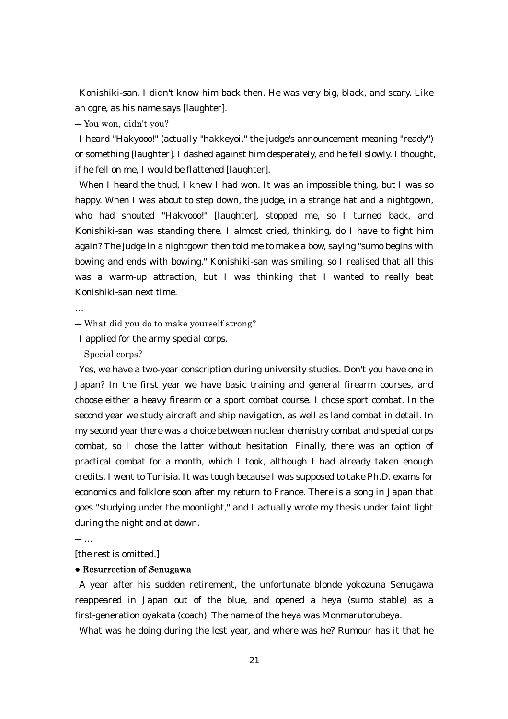Konishiki-san. I didn't know him back then. He was very big, black, and scary. Like an ogre, as his name says [laughter].

― You won, didn't you?

I heard "Hakyooo!" (actually "hakkeyoi," the judge's announcement meaning "ready") or something [laughter]. I dashed against him desperately, and he fell slowly. I thought, if he fell on me, I would be flattened [laughter].

When I heard the thud, I knew I had won. It was an impossible thing, but I was so happy. When I was about to step down, the judge, in a strange hat and a nightgown, who had shouted "Hakyooo!" [laughter], stopped me, so I turned back, and Konishiki-san was standing there. I almost cried, thinking, do I have to fight him again? The judge in a nightgown then told me to make a bow, saying "sumo begins with bowing and ends with bowing." Konishiki-san was smiling, so I realised that all this was a warm-up attraction, but I was thinking that I wanted to really beat Konishiki-san next time.

…

― What did you do to make yourself strong?

I applied for the army special corps.

― Special corps?

Yes, we have a two-year conscription during university studies. Don't you have one in Japan? In the first year we have basic training and general firearm courses, and choose either a heavy firearm or a sport combat course. I chose sport combat. In the second year we study aircraft and ship navigation, as well as land combat in detail. In my second year there was a choice between nuclear chemistry combat and special corps combat, so I chose the latter without hesitation. Finally, there was an option of practical combat for a month, which I took, although I had already taken enough credits. I went to Tunisia. It was tough because I was supposed to take Ph.D. exams for economics and folklore soon after my return to France. There is a song in Japan that goes "studying under the moonlight," and I actually wrote my thesis under faint light during the night and at dawn.

― …

[the rest is omitted.]

#### ● Resurrection of Senugawa

A year after his sudden retirement, the unfortunate blonde yokozuna Senugawa reappeared in Japan out of the blue, and opened a heya (sumo stable) as a first-generation oyakata (coach). The name of the heya was Monmarutorubeya.

What was he doing during the lost year, and where was he? Rumour has it that he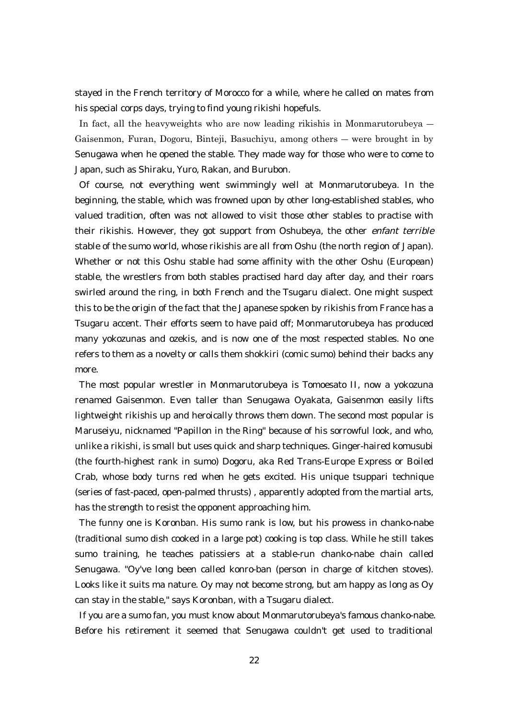stayed in the French territory of Morocco for a while, where he called on mates from his special corps days, trying to find young rikishi hopefuls.

In fact, all the heavyweights who are now leading rikishis in Monmarutorubeya ― Gaisenmon, Furan, Dogoru, Binteji, Basuchiyu, among others ― were brought in by Senugawa when he opened the stable. They made way for those who were to come to Japan, such as Shiraku, Yuro, Rakan, and Burubon.

Of course, not everything went swimmingly well at Monmarutorubeya. In the beginning, the stable, which was frowned upon by other long-established stables, who valued tradition, often was not allowed to visit those other stables to practise with their rikishis. However, they got support from Oshubeya, the other enfant terrible stable of the sumo world, whose rikishis are all from Oshu (the north region of Japan). Whether or not this Oshu stable had some affinity with the other Oshu (European) stable, the wrestlers from both stables practised hard day after day, and their roars swirled around the ring, in both French and the Tsugaru dialect. One might suspect this to be the origin of the fact that the Japanese spoken by rikishis from France has a Tsugaru accent. Their efforts seem to have paid off; Monmarutorubeya has produced many yokozunas and ozekis, and is now one of the most respected stables. No one refers to them as a novelty or calls them shokkiri (comic sumo) behind their backs any more.

The most popular wrestler in Monmarutorubeya is Tomoesato II, now a yokozuna renamed Gaisenmon. Even taller than Senugawa Oyakata, Gaisenmon easily lifts lightweight rikishis up and heroically throws them down. The second most popular is Maruseiyu, nicknamed "Papillon in the Ring" because of his sorrowful look, and who, unlike a rikishi, is small but uses quick and sharp techniques. Ginger-haired komusubi (the fourth-highest rank in sumo) Dogoru, aka Red Trans-Europe Express or Boiled Crab, whose body turns red when he gets excited. His unique tsuppari technique (series of fast-paced, open-palmed thrusts) , apparently adopted from the martial arts, has the strength to resist the opponent approaching him.

The funny one is Koronban. His sumo rank is low, but his prowess in chanko-nabe (traditional sumo dish cooked in a large pot) cooking is top class. While he still takes sumo training, he teaches patissiers at a stable-run chanko-nabe chain called Senugawa. "Oy've long been called konro-ban (person in charge of kitchen stoves). Looks like it suits ma nature. Oy may not become strong, but am happy as long as Oy can stay in the stable," says Koronban, with a Tsugaru dialect.

If you are a sumo fan, you must know about Monmarutorubeya's famous chanko-nabe. Before his retirement it seemed that Senugawa couldn't get used to traditional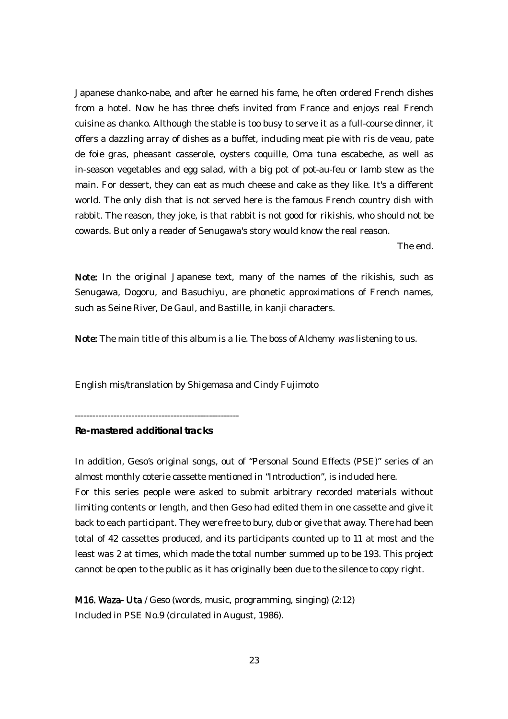Japanese chanko-nabe, and after he earned his fame, he often ordered French dishes from a hotel. Now he has three chefs invited from France and enjoys real French cuisine as chanko. Although the stable is too busy to serve it as a full-course dinner, it offers a dazzling array of dishes as a buffet, including meat pie with ris de veau, pate de foie gras, pheasant casserole, oysters coquille, Oma tuna escabeche, as well as in-season vegetables and egg salad, with a big pot of pot-au-feu or lamb stew as the main. For dessert, they can eat as much cheese and cake as they like. It's a different world. The only dish that is not served here is the famous French country dish with rabbit. The reason, they joke, is that rabbit is not good for rikishis, who should not be cowards. But only a reader of Senugawa's story would know the real reason.

The end.

Note: In the original Japanese text, many of the names of the rikishis, such as Senugawa, Dogoru, and Basuchiyu, are phonetic approximations of French names, such as Seine River, De Gaul, and Bastille, in kanji characters.

Note: The main title of this album is a lie. The boss of Alchemy was listening to us.

English mis/translation by Shigemasa and Cindy Fujimoto

-------------------------------------------------------

**Re-mastered additional tracks**

In addition, Geso's original songs, out of "Personal Sound Effects (PSE)" series of an almost monthly coterie cassette mentioned in "Introduction", is included here. For this series people were asked to submit arbitrary recorded materials without limiting contents or length, and then Geso had edited them in one cassette and give it back to each participant. They were free to bury, dub or give that away. There had been total of 42 cassettes produced, and its participants counted up to 11 at most and the least was 2 at times, which made the total number summed up to be 193. This project cannot be open to the public as it has originally been due to the silence to copy right.

M16. Waza- Uta / Geso (words, music, programming, singing) (2:12) Included in PSE No.9 (circulated in August, 1986).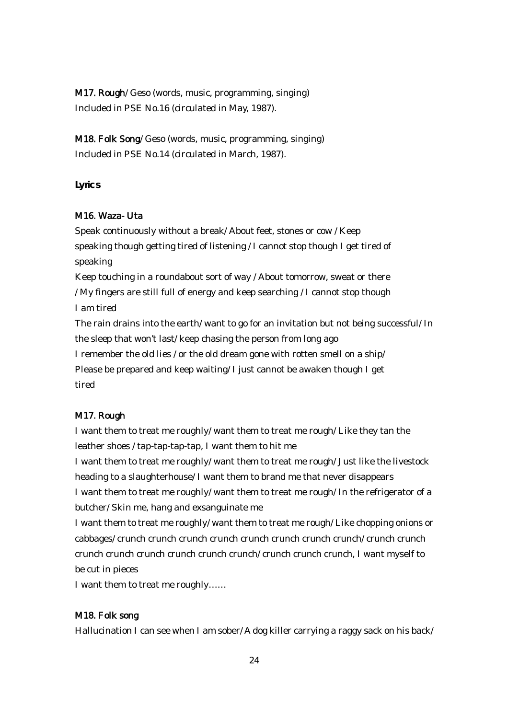M17. Rough/ Geso (words, music, programming, singing) Included in PSE No.16 (circulated in May, 1987).

M18. Folk Song/ Geso (words, music, programming, singing) Included in PSE No.14 (circulated in March, 1987).

**Lyrics**

# M16. Waza- Uta

Speak continuously without a break/ About feet, stones or cow / Keep speaking though getting tired of listening / I cannot stop though I get tired of speaking

Keep touching in a roundabout sort of way / About tomorrow, sweat or there / My fingers are still full of energy and keep searching / I cannot stop though I am tired

The rain drains into the earth/ want to go for an invitation but not being successful/ In the sleep that won't last/ keep chasing the person from long ago

I remember the old lies / or the old dream gone with rotten smell on a ship/ Please be prepared and keep waiting/ I just cannot be awaken though I get tired

# M17. Rough

I want them to treat me roughly/ want them to treat me rough/ Like they tan the leather shoes / tap-tap-tap-tap, I want them to hit me

I want them to treat me roughly/ want them to treat me rough/ Just like the livestock heading to a slaughterhouse/ I want them to brand me that never disappears I want them to treat me roughly/ want them to treat me rough/ In the refrigerator of a butcher/ Skin me, hang and exsanguinate me

I want them to treat me roughly/ want them to treat me rough/ Like chopping onions or cabbages/ crunch crunch crunch crunch crunch crunch crunch crunch/ crunch crunch crunch crunch crunch crunch crunch crunch/ crunch crunch crunch, I want myself to be cut in pieces

I want them to treat me roughly……

# M18. Folk song

Hallucination I can see when I am sober/ A dog killer carrying a raggy sack on his back/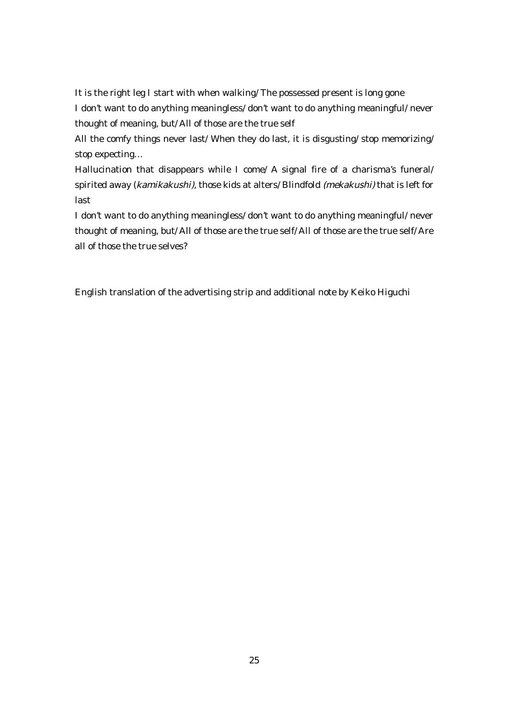It is the right leg I start with when walking/ The possessed present is long gone I don't want to do anything meaningless/ don't want to do anything meaningful/ never thought of meaning, but/ All of those are the true self

All the comfy things never last/ When they do last, it is disgusting/ stop memorizing/ stop expecting…

Hallucination that disappears while I come/ A signal fire of a charisma's funeral/ spirited away (kamikakushi), those kids at alters/ Blindfold (mekakushi) that is left for last

I don't want to do anything meaningless/ don't want to do anything meaningful/ never thought of meaning, but/ All of those are the true self/ All of those are the true self/ Are all of those the true selves?

English translation of the advertising strip and additional note by Keiko Higuchi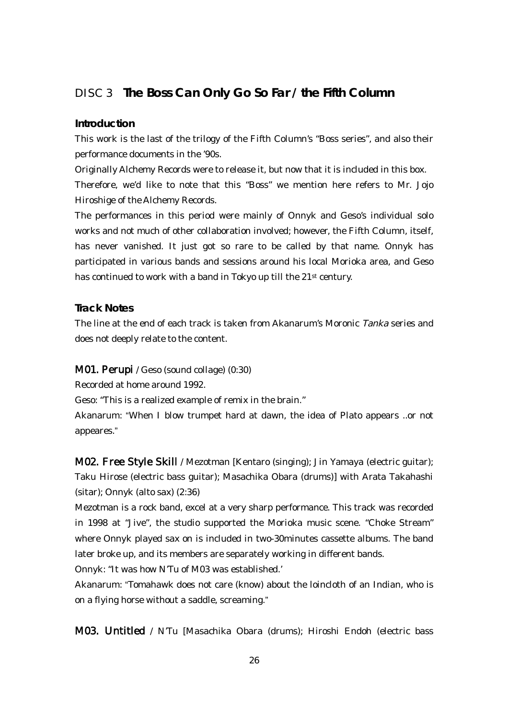# DISC 3 **The Boss Can Only Go So Far / the Fifth Column**

#### **Introduction**

This work is the last of the trilogy of the Fifth Column's "Boss series", and also their performance documents in the '90s.

Originally Alchemy Records were to release it, but now that it is included in this box. Therefore, we'd like to note that this "Boss" we mention here refers to Mr. Jojo Hiroshige of the Alchemy Records.

The performances in this period were mainly of Onnyk and Geso's individual solo works and not much of other collaboration involved; however, the Fifth Column, itself, has never vanished. It just got so rare to be called by that name. Onnyk has participated in various bands and sessions around his local Morioka area, and Geso has continued to work with a band in Tokyo up till the 21<sup>st</sup> century.

**Track Notes**

The line at the end of each track is taken from Akanarum's Moronic Tanka series and does not deeply relate to the content.

## M01. Perupi / Geso (sound collage) (0:30)

Recorded at home around 1992.

Geso: "This is a realized example of remix in the brain."

Akanarum: "When I blow trumpet hard at dawn, the idea of Plato appears ..or not appeares."

M02. Free Style Skill / Mezotman [Kentaro (singing); Jin Yamaya (electric guitar); Taku Hirose (electric bass guitar); Masachika Obara (drums)] with Arata Takahashi (sitar); Onnyk (alto sax) (2:36)

Mezotman is a rock band, excel at a very sharp performance. This track was recorded in 1998 at "Jive", the studio supported the Morioka music scene. "Choke Stream" where Onnyk played sax on is included in two-30minutes cassette albums. The band later broke up, and its members are separately working in different bands.

Onnyk: "It was how N'Tu of M03 was established.'

Akanarum: "Tomahawk does not care (know) about the loincloth of an Indian, who is on a flying horse without a saddle, screaming."

M03. Untitled / N'Tu [Masachika Obara (drums); Hiroshi Endoh (electric bass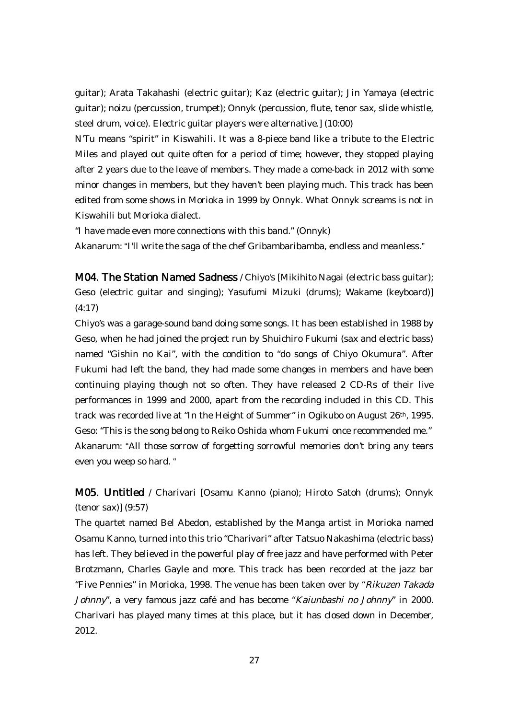guitar); Arata Takahashi (electric guitar); Kaz (electric guitar); Jin Yamaya (electric guitar); noizu (percussion, trumpet); Onnyk (percussion, flute, tenor sax, slide whistle, steel drum, voice). Electric guitar players were alternative.] (10:00)

N'Tu means "spirit" in Kiswahili. It was a 8-piece band like a tribute to the Electric Miles and played out quite often for a period of time; however, they stopped playing after 2 years due to the leave of members. They made a come-back in 2012 with some minor changes in members, but they haven't been playing much. This track has been edited from some shows in Morioka in 1999 by Onnyk. What Onnyk screams is not in Kiswahili but Morioka dialect.

"I have made even more connections with this band." (Onnyk)

Akanarum: "I'll write the saga of the chef Gribambaribamba, endless and meanless."

M04. The Station Named Sadness / Chiyo's [Mikihito Nagai (electric bass guitar); Geso (electric guitar and singing); Yasufumi Mizuki (drums); Wakame (keyboard)] (4:17)

Chiyo's was a garage-sound band doing some songs. It has been established in 1988 by Geso, when he had joined the project run by Shuichiro Fukumi (sax and electric bass) named "Gishin no Kai", with the condition to "do songs of Chiyo Okumura". After Fukumi had left the band, they had made some changes in members and have been continuing playing though not so often. They have released 2 CD-Rs of their live performances in 1999 and 2000, apart from the recording included in this CD. This track was recorded live at "In the Height of Summer" in Ogikubo on August 26th, 1995. Geso: "This is the song belong to Reiko Oshida whom Fukumi once recommended me." Akanarum: "All those sorrow of forgetting sorrowful memories don't bring any tears even you weep so hard. "

M05. Untitled / Charivari [Osamu Kanno (piano); Hiroto Satoh (drums); Onnyk (tenor sax)] (9:57)

The quartet named Bel Abedon, established by the Manga artist in Morioka named Osamu Kanno, turned into this trio "Charivari" after Tatsuo Nakashima (electric bass) has left. They believed in the powerful play of free jazz and have performed with Peter Brotzmann, Charles Gayle and more. This track has been recorded at the jazz bar "Five Pennies" in Morioka, 1998. The venue has been taken over by "Rikuzen Takada Johnny", a very famous jazz café and has become "Kaiunbashi no Johnny" in 2000. Charivari has played many times at this place, but it has closed down in December, 2012.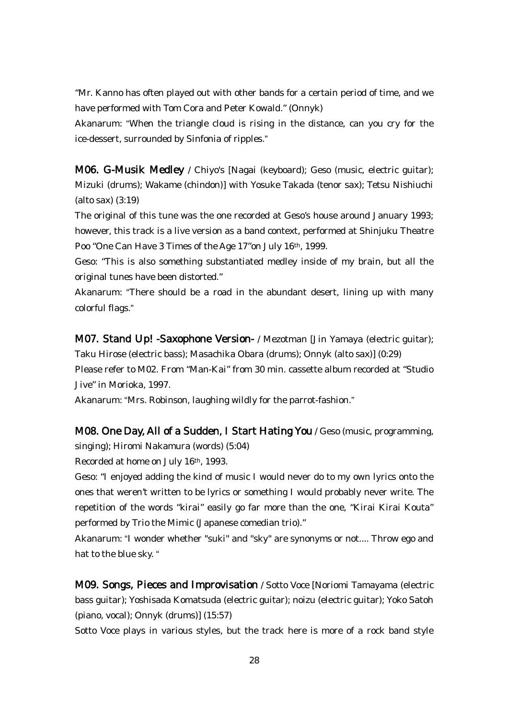"Mr. Kanno has often played out with other bands for a certain period of time, and we have performed with Tom Cora and Peter Kowald." (Onnyk)

Akanarum: "When the triangle cloud is rising in the distance, can you cry for the ice-dessert, surrounded by Sinfonia of ripples."

M06. G-Musik Medley / Chiyo's [Nagai (keyboard); Geso (music, electric guitar); Mizuki (drums); Wakame (chindon)] with Yosuke Takada (tenor sax); Tetsu Nishiuchi (alto sax) (3:19)

The original of this tune was the one recorded at Geso's house around January 1993; however, this track is a live version as a band context, performed at Shinjuku Theatre Poo "One Can Have 3 Times of the Age 17"on July 16th, 1999.

Geso: "This is also something substantiated medley inside of my brain, but all the original tunes have been distorted."

Akanarum: "There should be a road in the abundant desert, lining up with many colorful flags."

M07. Stand Up! -Saxophone Version- / Mezotman [Jin Yamaya (electric guitar); Taku Hirose (electric bass); Masachika Obara (drums); Onnyk (alto sax)] (0:29) Please refer to M02. From "Man-Kai" from 30 min. cassette album recorded at "Studio Jive" in Morioka, 1997.

Akanarum: "Mrs. Robinson, laughing wildly for the parrot-fashion."

M08. One Day, All of a Sudden, I Start Hating You / Geso (music, programming, singing); Hiromi Nakamura (words) (5:04)

Recorded at home on July 16th, 1993.

Geso: "I enjoyed adding the kind of music I would never do to my own lyrics onto the ones that weren't written to be lyrics or something I would probably never write. The repetition of the words "kirai" easily go far more than the one, "Kirai Kirai Kouta" performed by Trio the Mimic (Japanese comedian trio)."

Akanarum: "I wonder whether "suki" and "sky" are synonyms or not.... Throw ego and hat to the blue sky. "

M09. Songs, Pieces and Improvisation / Sotto Voce [Noriomi Tamayama (electric bass guitar); Yoshisada Komatsuda (electric guitar); noizu (electric guitar); Yoko Satoh (piano, vocal); Onnyk (drums)] (15:57)

Sotto Voce plays in various styles, but the track here is more of a rock band style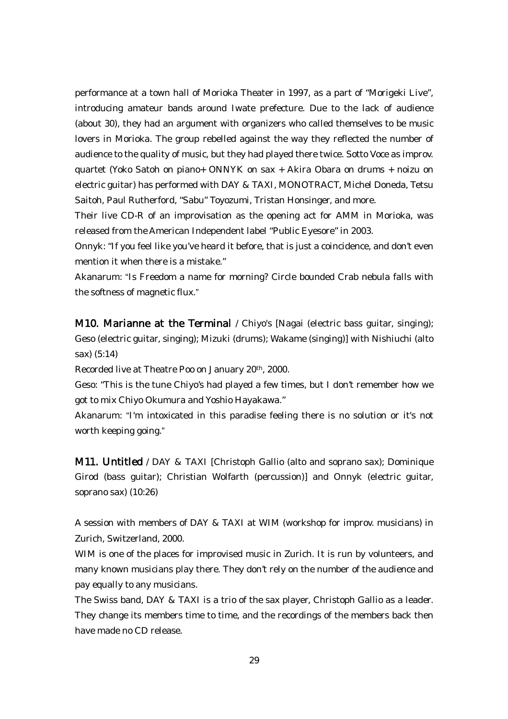performance at a town hall of Morioka Theater in 1997, as a part of "Morigeki Live", introducing amateur bands around Iwate prefecture. Due to the lack of audience (about 30), they had an argument with organizers who called themselves to be music lovers in Morioka. The group rebelled against the way they reflected the number of audience to the quality of music, but they had played there twice. Sotto Voce as improv. quartet (Yoko Satoh on piano+ ONNYK on sax + Akira Obara on drums + noizu on electric guitar) has performed with DAY & TAXI, MONOTRACT, Michel Doneda, Tetsu Saitoh, Paul Rutherford, "Sabu" Toyozumi, Tristan Honsinger, and more.

Their live CD-R of an improvisation as the opening act for AMM in Morioka, was released from the American Independent label "Public Eyesore" in 2003.

Onnyk: "If you feel like you've heard it before, that is just a coincidence, and don't even mention it when there is a mistake."

Akanarum: "Is Freedom a name for morning? Circle bounded Crab nebula falls with the softness of magnetic flux."

**M10. Marianne at the Terminal** / Chiyo's [Nagai (electric bass guitar, singing); Geso (electric guitar, singing); Mizuki (drums); Wakame (singing)] with Nishiuchi (alto sax) (5:14)

Recorded live at Theatre Poo on January 20th, 2000.

Geso: "This is the tune Chiyo's had played a few times, but I don't remember how we got to mix Chiyo Okumura and Yoshio Hayakawa."

Akanarum: "I'm intoxicated in this paradise feeling there is no solution or it's not worth keeping going."

M11. Untitled / DAY & TAXI [Christoph Gallio (alto and soprano sax); Dominique Girod (bass guitar); Christian Wolfarth (percussion)] and Onnyk (electric guitar, soprano sax) (10:26)

A session with members of DAY & TAXI at WIM (workshop for improv. musicians) in Zurich, Switzerland, 2000.

WIM is one of the places for improvised music in Zurich. It is run by volunteers, and many known musicians play there. They don't rely on the number of the audience and pay equally to any musicians.

The Swiss band, DAY & TAXI is a trio of the sax player, Christoph Gallio as a leader. They change its members time to time, and the recordings of the members back then have made no CD release.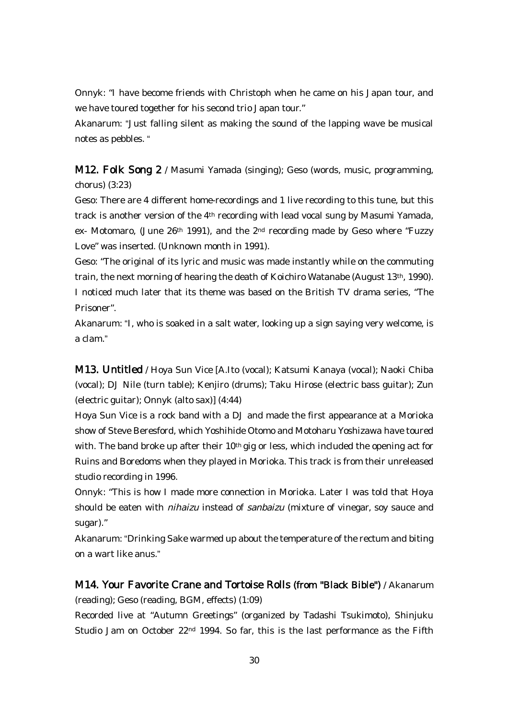Onnyk: "I have become friends with Christoph when he came on his Japan tour, and we have toured together for his second trio Japan tour."

Akanarum: "Just falling silent as making the sound of the lapping wave be musical notes as pebbles. "

M12. Folk Song 2 / Masumi Yamada (singing); Geso (words, music, programming, chorus) (3:23)

Geso: There are 4 different home-recordings and 1 live recording to this tune, but this track is another version of the 4th recording with lead vocal sung by Masumi Yamada, ex- Motomaro, (June 26<sup>th</sup> 1991), and the 2<sup>nd</sup> recording made by Geso where "Fuzzy Love" was inserted. (Unknown month in 1991).

Geso: "The original of its lyric and music was made instantly while on the commuting train, the next morning of hearing the death of Koichiro Watanabe (August 13th, 1990). I noticed much later that its theme was based on the British TV drama series, "The Prisoner".

Akanarum: "I, who is soaked in a salt water, looking up a sign saying very welcome, is a clam."

M13. Untitled / Hoya Sun Vice [A.Ito (vocal); Katsumi Kanaya (vocal); Naoki Chiba (vocal); DJ Nile (turn table); Kenjiro (drums); Taku Hirose (electric bass guitar); Zun (electric guitar); Onnyk (alto sax)] (4:44)

Hoya Sun Vice is a rock band with a DJ and made the first appearance at a Morioka show of Steve Beresford, which Yoshihide Otomo and Motoharu Yoshizawa have toured with. The band broke up after their 10<sup>th</sup> gig or less, which included the opening act for Ruins and Boredoms when they played in Morioka. This track is from their unreleased studio recording in 1996.

Onnyk: "This is how I made more connection in Morioka. Later I was told that Hoya should be eaten with nihaizu instead of sanbaizu (mixture of vinegar, soy sauce and sugar)."

Akanarum: "Drinking Sake warmed up about the temperature of the rectum and biting on a wart like anus."

M14. Your Favorite Crane and Tortoise Rolls (from "Black Bible") / Akanarum (reading); Geso (reading, BGM, effects) (1:09)

Recorded live at "Autumn Greetings" (organized by Tadashi Tsukimoto), Shinjuku Studio Jam on October 22nd 1994. So far, this is the last performance as the Fifth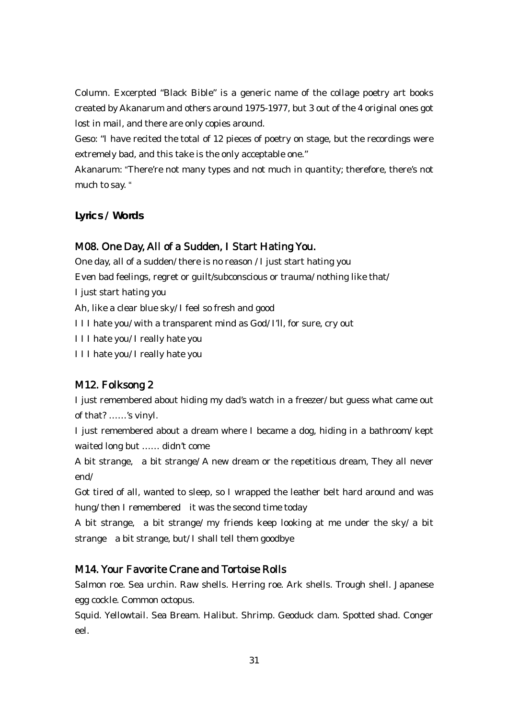Column. Excerpted "Black Bible" is a generic name of the collage poetry art books created by Akanarum and others around 1975-1977, but 3 out of the 4 original ones got lost in mail, and there are only copies around.

Geso: "I have recited the total of 12 pieces of poetry on stage, but the recordings were extremely bad, and this take is the only acceptable one."

Akanarum: "There're not many types and not much in quantity; therefore, there's not much to say. "

**Lyrics / Words**

# M08. One Day, All of a Sudden, I Start Hating You.

One day, all of a sudden/ there is no reason / I just start hating you Even bad feelings, regret or guilt/subconscious or trauma/ nothing like that/ I just start hating you Ah, like a clear blue sky/ I feel so fresh and good I I I hate you/ with a transparent mind as God/ I'll, for sure, cry out I I I hate you/ I really hate you I I I hate you/ I really hate you

# M12. Folksong 2

I just remembered about hiding my dad's watch in a freezer/ but guess what came out of that? ……'s vinyl.

I just remembered about a dream where I became a dog, hiding in a bathroom/ kept waited long but …… didn't come

A bit strange, a bit strange/ A new dream or the repetitious dream, They all never end/

Got tired of all, wanted to sleep, so I wrapped the leather belt hard around and was hung/ then I remembered it was the second time today

A bit strange, a bit strange/ my friends keep looking at me under the sky/ a bit strange a bit strange, but/ I shall tell them goodbye

# M14. Your Favorite Crane and Tortoise Rolls

Salmon roe. Sea urchin. Raw shells. Herring roe. Ark shells. Trough shell. Japanese egg cockle. Common octopus.

Squid. Yellowtail. Sea Bream. Halibut. Shrimp. Geoduck clam. Spotted shad. Conger eel.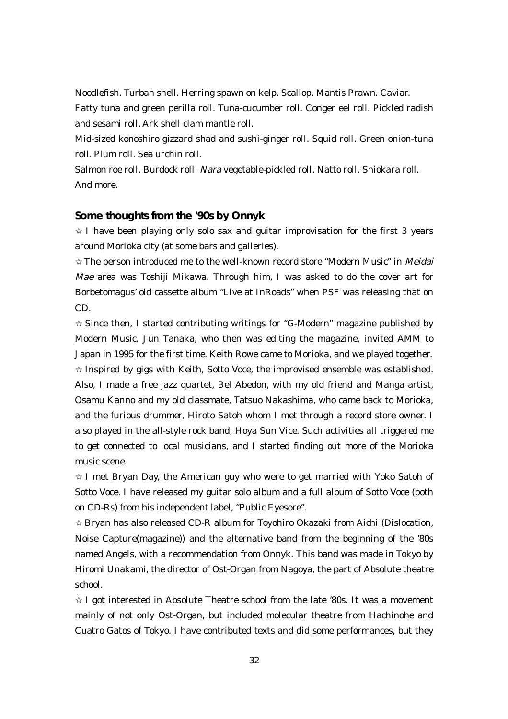Noodlefish. Turban shell. Herring spawn on kelp. Scallop. Mantis Prawn. Caviar. Fatty tuna and green perilla roll. Tuna-cucumber roll. Conger eel roll. Pickled radish and sesami roll. Ark shell clam mantle roll.

Mid-sized konoshiro gizzard shad and sushi-ginger roll. Squid roll. Green onion-tuna roll. Plum roll. Sea urchin roll.

Salmon roe roll. Burdock roll. Nara vegetable-pickled roll. Natto roll. Shiokara roll. And more.

#### **Some thoughts from the '90s by Onnyk**

I have been playing only solo sax and guitar improvisation for the first 3 years around Morioka city (at some bars and galleries).

The person introduced me to the well-known record store "Modern Music" in Meidai Mae area was Toshiji Mikawa. Through him, I was asked to do the cover art for Borbetomagus' old cassette album "Live at InRoads" when PSF was releasing that on CD.

Since then, I started contributing writings for "G-Modern" magazine published by Modern Music. Jun Tanaka, who then was editing the magazine, invited AMM to Japan in 1995 for the first time. Keith Rowe came to Morioka, and we played together.

Inspired by gigs with Keith, Sotto Voce, the improvised ensemble was established. Also, I made a free jazz quartet, Bel Abedon, with my old friend and Manga artist, Osamu Kanno and my old classmate, Tatsuo Nakashima, who came back to Morioka, and the furious drummer, Hiroto Satoh whom I met through a record store owner. I also played in the all-style rock band, Hoya Sun Vice. Such activities all triggered me to get connected to local musicians, and I started finding out more of the Morioka music scene.

I met Bryan Day, the American guy who were to get married with Yoko Satoh of Sotto Voce. I have released my guitar solo album and a full album of Sotto Voce (both on CD-Rs) from his independent label, "Public Eyesore".

Bryan has also released CD-R album for Toyohiro Okazaki from Aichi (Dislocation, Noise Capture(magazine)) and the alternative band from the beginning of the '80s named Angels, with a recommendation from Onnyk. This band was made in Tokyo by Hiromi Unakami, the director of Ost-Organ from Nagoya, the part of Absolute theatre school.

I got interested in Absolute Theatre school from the late '80s. It was a movement mainly of not only Ost-Organ, but included molecular theatre from Hachinohe and Cuatro Gatos of Tokyo. I have contributed texts and did some performances, but they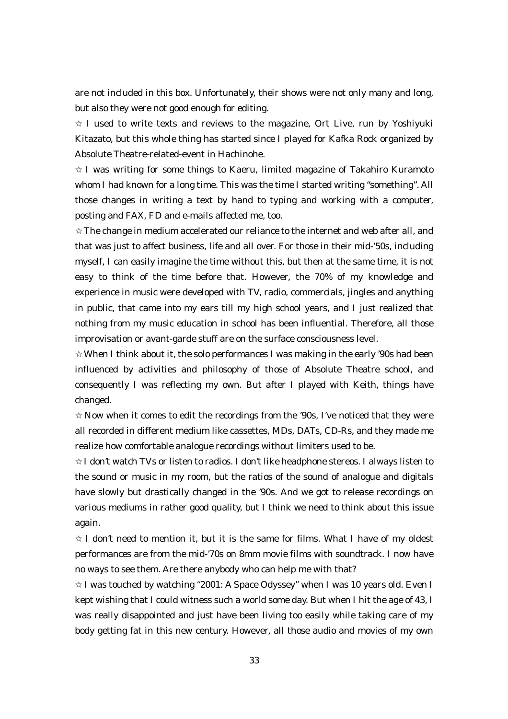are not included in this box. Unfortunately, their shows were not only many and long, but also they were not good enough for editing.

I used to write texts and reviews to the magazine, Ort Live, run by Yoshiyuki Kitazato, but this whole thing has started since I played for Kafka Rock organized by Absolute Theatre-related-event in Hachinohe.

I was writing for some things to Kaeru, limited magazine of Takahiro Kuramoto whom I had known for a long time. This was the time I started writing "something". All those changes in writing a text by hand to typing and working with a computer, posting and FAX, FD and e-mails affected me, too.

The change in medium accelerated our reliance to the internet and web after all, and that was just to affect business, life and all over. For those in their mid-'50s, including myself, I can easily imagine the time without this, but then at the same time, it is not easy to think of the time before that. However, the 70% of my knowledge and experience in music were developed with TV, radio, commercials, jingles and anything in public, that came into my ears till my high school years, and I just realized that nothing from my music education in school has been influential. Therefore, all those improvisation or avant-garde stuff are on the surface consciousness level.

When I think about it, the solo performances I was making in the early '90s had been influenced by activities and philosophy of those of Absolute Theatre school, and consequently I was reflecting my own. But after I played with Keith, things have changed.

Now when it comes to edit the recordings from the '90s, I've noticed that they were all recorded in different medium like cassettes, MDs, DATs, CD-Rs, and they made me realize how comfortable analogue recordings without limiters used to be.

I don't watch TVs or listen to radios. I don't like headphone stereos. I always listen to the sound or music in my room, but the ratios of the sound of analogue and digitals have slowly but drastically changed in the '90s. And we got to release recordings on various mediums in rather good quality, but I think we need to think about this issue again.

I don't need to mention it, but it is the same for films. What I have of my oldest performances are from the mid-'70s on 8mm movie films with soundtrack. I now have no ways to see them. Are there anybody who can help me with that?

I was touched by watching "2001: A Space Odyssey" when I was 10 years old. Even I kept wishing that I could witness such a world some day. But when I hit the age of 43, I was really disappointed and just have been living too easily while taking care of my body getting fat in this new century. However, all those audio and movies of my own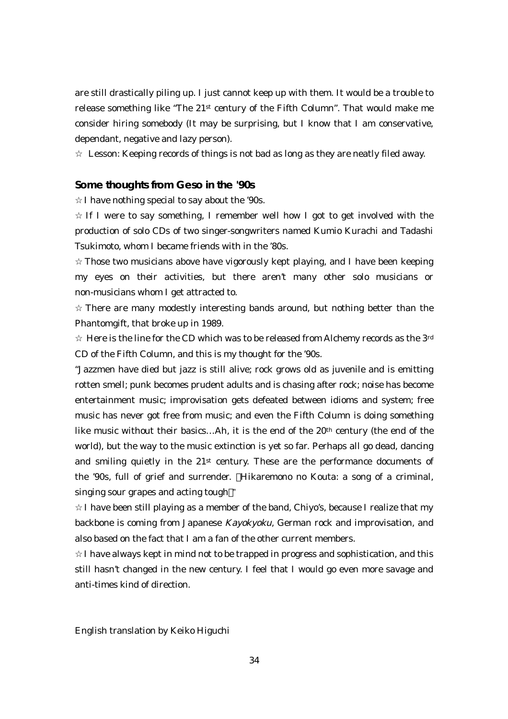are still drastically piling up. I just cannot keep up with them. It would be a trouble to release something like "The  $21<sup>st</sup>$  century of the Fifth Column". That would make me consider hiring somebody (It may be surprising, but I know that I am conservative, dependant, negative and lazy person).

Lesson: Keeping records of things is not bad as long as they are neatly filed away.

#### **Some thoughts from Geso in the '90s**

I have nothing special to say about the '90s.

If I were to say something, I remember well how I got to get involved with the production of solo CDs of two singer-songwriters named Kumio Kurachi and Tadashi Tsukimoto, whom I became friends with in the '80s.

Those two musicians above have vigorously kept playing, and I have been keeping my eyes on their activities, but there aren't many other solo musicians or non-musicians whom I get attracted to.

There are many modestly interesting bands around, but nothing better than the Phantomgift, that broke up in 1989.

Here is the line for the CD which was to be released from Alchemy records as the  $3<sup>rd</sup>$ CD of the Fifth Column, and this is my thought for the '90s.

"Jazzmen have died but jazz is still alive; rock grows old as juvenile and is emitting rotten smell; punk becomes prudent adults and is chasing after rock; noise has become entertainment music; improvisation gets defeated between idioms and system; free music has never got free from music; and even the Fifth Column is doing something like music without their basics…Ah, it is the end of the 20th century (the end of the world), but the way to the music extinction is yet so far. Perhaps all go dead, dancing and smiling quietly in the 21st century. These are the performance documents of the '90s, full of grief and surrender. Hikaremono no Kouta: a song of a criminal, singing sour grapes and acting tough "

I have been still playing as a member of the band, Chiyo's, because I realize that my backbone is coming from Japanese Kayokyoku, German rock and improvisation, and also based on the fact that I am a fan of the other current members.

I have always kept in mind not to be trapped in progress and sophistication, and this still hasn't changed in the new century. I feel that I would go even more savage and anti-times kind of direction.

English translation by Keiko Higuchi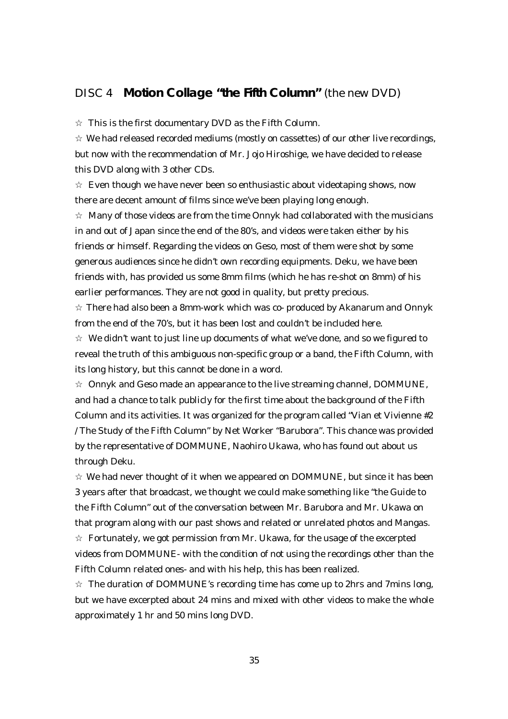# DISC 4 **Motion Collage "the Fifth Column"** (the new DVD)

This is the first documentary DVD as the Fifth Column.

We had released recorded mediums (mostly on cassettes) of our other live recordings, but now with the recommendation of Mr. Jojo Hiroshige, we have decided to release this DVD along with 3 other CDs.

Even though we have never been so enthusiastic about videotaping shows, now there are decent amount of films since we've been playing long enough.

Many of those videos are from the time Onnyk had collaborated with the musicians in and out of Japan since the end of the 80's, and videos were taken either by his friends or himself. Regarding the videos on Geso, most of them were shot by some generous audiences since he didn't own recording equipments. Deku, we have been friends with, has provided us some 8mm films (which he has re-shot on 8mm) of his earlier performances. They are not good in quality, but pretty precious.

There had also been a 8mm-work which was co- produced by Akanarum and Onnyk from the end of the 70's, but it has been lost and couldn't be included here.

We didn't want to just line up documents of what we've done, and so we figured to reveal the truth of this ambiguous non-specific group or a band, the Fifth Column, with its long history, but this cannot be done in a word.

Onnyk and Geso made an appearance to the live streaming channel, DOMMUNE, and had a chance to talk publicly for the first time about the background of the Fifth Column and its activities. It was organized for the program called "Vian et Vivienne #2 / The Study of the Fifth Column" by Net Worker "Barubora". This chance was provided by the representative of DOMMUNE, Naohiro Ukawa, who has found out about us through Deku.

We had never thought of it when we appeared on DOMMUNE, but since it has been 3 years after that broadcast, we thought we could make something like "the Guide to the Fifth Column" out of the conversation between Mr. Barubora and Mr. Ukawa on that program along with our past shows and related or unrelated photos and Mangas.

Fortunately, we got permission from Mr. Ukawa, for the usage of the excerpted videos from DOMMUNE- with the condition of not using the recordings other than the Fifth Column related ones- and with his help, this has been realized.

The duration of DOMMUNE's recording time has come up to 2hrs and 7mins long, but we have excerpted about 24 mins and mixed with other videos to make the whole approximately 1 hr and 50 mins long DVD.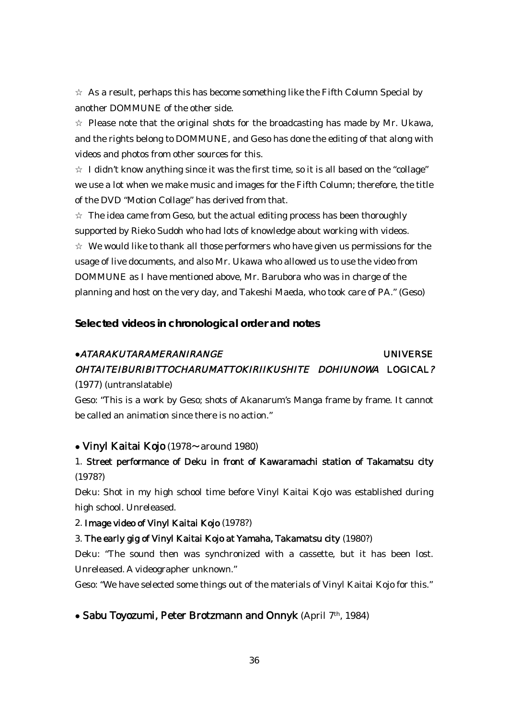As a result, perhaps this has become something like the Fifth Column Special by another DOMMUNE of the other side.

Please note that the original shots for the broadcasting has made by Mr. Ukawa, and the rights belong to DOMMUNE, and Geso has done the editing of that along with videos and photos from other sources for this.

I didn't know anything since it was the first time, so it is all based on the "collage" we use a lot when we make music and images for the Fifth Column; therefore, the title of the DVD "Motion Collage" has derived from that.

The idea came from Geso, but the actual editing process has been thoroughly supported by Rieko Sudoh who had lots of knowledge about working with videos.

We would like to thank all those performers who have given us permissions for the usage of live documents, and also Mr. Ukawa who allowed us to use the video from DOMMUNE as I have mentioned above, Mr. Barubora who was in charge of the planning and host on the very day, and Takeshi Maeda, who took care of PA." (Geso)

**Selected videos in chronological order and notes**

# ●ATARAKUTARAMERANIRANGE UNIVERSE OHTAITEIBURIBITTOCHARUMATTOKIRIIKUSHITE DOHIUNOWA LOGICAL?

#### (1977) (untranslatable)

Geso: "This is a work by Geso; shots of Akanarum's Manga frame by frame. It cannot be called an animation since there is no action."

#### ● Vinyl Kaitai Kojo (1978〜around 1980)

# 1. Street performance of Deku in front of Kawaramachi station of Takamatsu city (1978?)

Deku: Shot in my high school time before Vinyl Kaitai Kojo was established during high school. Unreleased.

#### 2. Image video of Vinyl Kaitai Kojo (1978?)

#### 3. The early gig of Vinyl Kaitai Kojo at Yamaha, Takamatsu city (1980?)

Deku: "The sound then was synchronized with a cassette, but it has been lost. Unreleased. A videographer unknown."

Geso: "We have selected some things out of the materials of Vinyl Kaitai Kojo for this."

# ● Sabu Toyozumi, Peter Brotzmann and Onnyk (April 7th, 1984)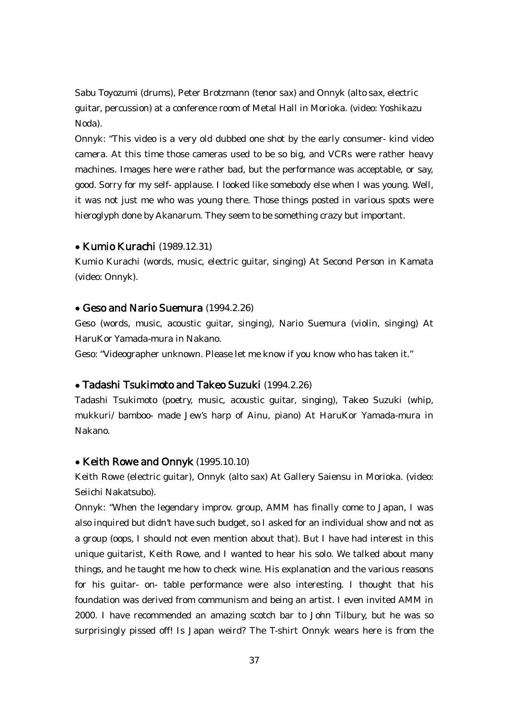Sabu Toyozumi (drums), Peter Brotzmann (tenor sax) and Onnyk (alto sax, electric guitar, percussion) at a conference room of Metal Hall in Morioka. (video: Yoshikazu Noda).

Onnyk: "This video is a very old dubbed one shot by the early consumer- kind video camera. At this time those cameras used to be so big, and VCRs were rather heavy machines. Images here were rather bad, but the performance was acceptable, or say, good. Sorry for my self- applause. I looked like somebody else when I was young. Well, it was not just me who was young there. Those things posted in various spots were hieroglyph done by Akanarum. They seem to be something crazy but important.

#### ● Kumio Kurachi (1989.12.31)

Kumio Kurachi (words, music, electric guitar, singing) At Second Person in Kamata (video: Onnyk).

#### • Geso and Nario Suemura (1994.2.26)

Geso (words, music, acoustic guitar, singing), Nario Suemura (violin, singing) At HaruKor Yamada-mura in Nakano.

Geso: "Videographer unknown. Please let me know if you know who has taken it."

### ● Tadashi Tsukimoto and Takeo Suzuki (1994.2.26)

Tadashi Tsukimoto (poetry, music, acoustic guitar, singing), Takeo Suzuki (whip, mukkuri/ bamboo- made Jew's harp of Ainu, piano) At HaruKor Yamada-mura in Nakano.

### • Keith Rowe and Onnyk (1995.10.10)

Keith Rowe (electric guitar), Onnyk (alto sax) At Gallery Saiensu in Morioka. (video: Seiichi Nakatsubo).

Onnyk: "When the legendary improv. group, AMM has finally come to Japan, I was also inquired but didn't have such budget, so I asked for an individual show and not as a group (oops, I should not even mention about that). But I have had interest in this unique guitarist, Keith Rowe, and I wanted to hear his solo. We talked about many things, and he taught me how to check wine. His explanation and the various reasons for his guitar- on- table performance were also interesting. I thought that his foundation was derived from communism and being an artist. I even invited AMM in 2000. I have recommended an amazing scotch bar to John Tilbury, but he was so surprisingly pissed off! Is Japan weird? The T-shirt Onnyk wears here is from the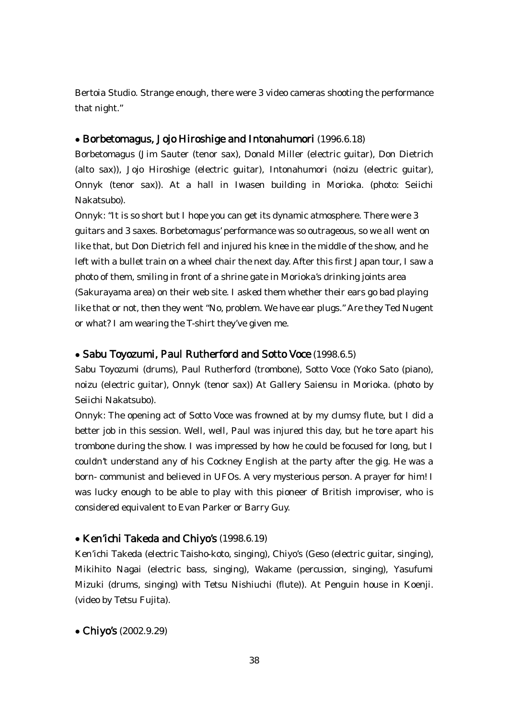Bertoia Studio. Strange enough, there were 3 video cameras shooting the performance that night."

### ● Borbetomagus, Jojo Hiroshige and Intonahumori (1996.6.18)

Borbetomagus (Jim Sauter (tenor sax), Donald Miller (electric guitar), Don Dietrich (alto sax)), Jojo Hiroshige (electric guitar), Intonahumori (noizu (electric guitar), Onnyk (tenor sax)). At a hall in Iwasen building in Morioka. (photo: Seiichi Nakatsubo).

Onnyk: "It is so short but I hope you can get its dynamic atmosphere. There were 3 guitars and 3 saxes. Borbetomagus' performance was so outrageous, so we all went on like that, but Don Dietrich fell and injured his knee in the middle of the show, and he left with a bullet train on a wheel chair the next day. After this first Japan tour, I saw a photo of them, smiling in front of a shrine gate in Morioka's drinking joints area (Sakurayama area) on their web site. I asked them whether their ears go bad playing like that or not, then they went "No, problem. We have ear plugs." Are they Ted Nugent or what? I am wearing the T-shirt they've given me.

# • Sabu Toyozumi, Paul Rutherford and Sotto Voce (1998.6.5)

Sabu Toyozumi (drums), Paul Rutherford (trombone), Sotto Voce (Yoko Sato (piano), noizu (electric guitar), Onnyk (tenor sax)) At Gallery Saiensu in Morioka. (photo by Seiichi Nakatsubo).

Onnyk: The opening act of Sotto Voce was frowned at by my clumsy flute, but I did a better job in this session. Well, well, Paul was injured this day, but he tore apart his trombone during the show. I was impressed by how he could be focused for long, but I couldn't understand any of his Cockney English at the party after the gig. He was a born- communist and believed in UFOs. A very mysterious person. A prayer for him! I was lucky enough to be able to play with this pioneer of British improviser, who is considered equivalent to Evan Parker or Barry Guy.

### ● Ken'ichi Takeda and Chiyo's (1998.6.19)

Ken'ichi Takeda (electric Taisho-koto, singing), Chiyo's (Geso (electric guitar, singing), Mikihito Nagai (electric bass, singing), Wakame (percussion, singing), Yasufumi Mizuki (drums, singing) with Tetsu Nishiuchi (flute)). At Penguin house in Koenji. (video by Tetsu Fujita).

● Chiyo's (2002.9.29)